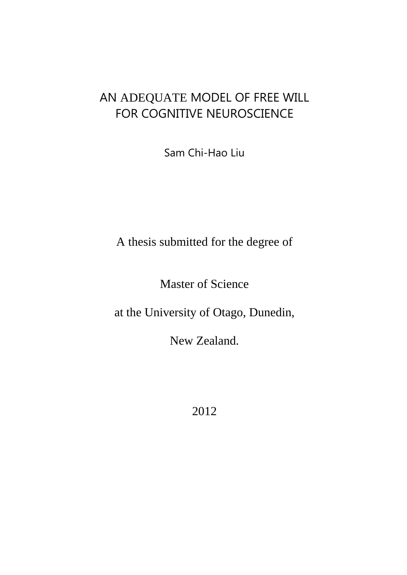# AN ADEQUATE MODEL OF FREE WILL FOR COGNITIVE NEUROSCIENCE

Sam Chi-Hao Liu

A thesis submitted for the degree of

Master of Science

at the University of Otago, Dunedin,

New Zealand.

2012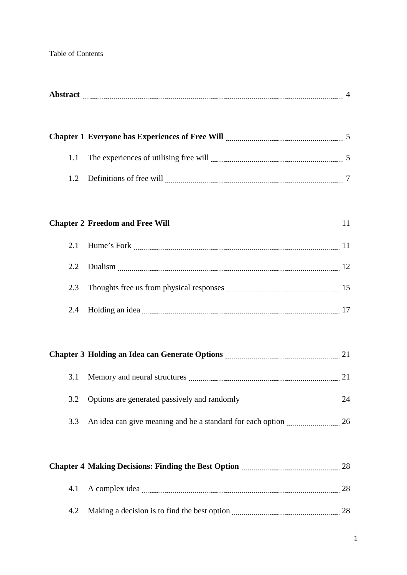## Table of Contents

|     | Chapter 1 Everyone has Experiences of Free Will <b>Martin Chapter 1</b> Everyone has Experiences of Free Will <b>Martin Chapter</b> 5                                                                                                    |    |
|-----|------------------------------------------------------------------------------------------------------------------------------------------------------------------------------------------------------------------------------------------|----|
| 1.1 | The experiences of utilising free will <i>machine and seriences</i> and series and series of utilising free will <i>machine and series</i> and series and series of the series of the series of the series of the series of the series o |    |
| 1.2 |                                                                                                                                                                                                                                          |    |
|     |                                                                                                                                                                                                                                          |    |
|     | Chapter 2 Freedom and Free Will <b>Manual Election Chapter 2</b> Freedom and Free Will <b>Manual Chapter 2</b> Freedom and Free Will <b>Chapter</b>                                                                                      |    |
| 2.1 |                                                                                                                                                                                                                                          |    |
| 2.2 |                                                                                                                                                                                                                                          |    |
| 2.3 |                                                                                                                                                                                                                                          |    |
| 2.4 | Holding an idea <u>manual communication</u> contract the series and the series of the series of the series of the series of the series of the series of the series of the series of the series of the series of the series of the s      |    |
|     |                                                                                                                                                                                                                                          |    |
|     | Chapter 3 Holding an Idea can Generate Options <b>Manufacture 121</b> 21                                                                                                                                                                 |    |
| 3.1 |                                                                                                                                                                                                                                          |    |
| 3.2 |                                                                                                                                                                                                                                          |    |
| 3.3 | An idea can give meaning and be a standard for each option <i>manufacture</i> 26                                                                                                                                                         |    |
|     |                                                                                                                                                                                                                                          |    |
|     | Chapter 4 Making Decisions: Finding the Best Option <b>Material Action</b> 28                                                                                                                                                            |    |
| 4.1 |                                                                                                                                                                                                                                          | 28 |
| 4.2 |                                                                                                                                                                                                                                          |    |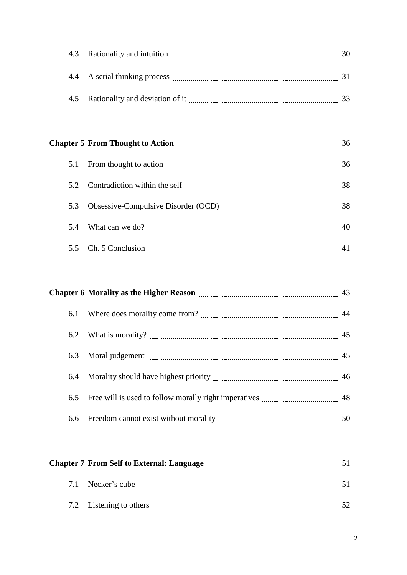| 4.3 Rationality and intuition       |  |
|-------------------------------------|--|
|                                     |  |
| 4.4 A serial thinking process       |  |
|                                     |  |
| 4.5 Rationality and deviation of it |  |

|     | Chapter 5 From Thought to Action <b>Manual Community of Action</b> | 36 |
|-----|--------------------------------------------------------------------|----|
|     |                                                                    | 36 |
|     |                                                                    | 38 |
| 5.3 |                                                                    |    |
|     |                                                                    | 40 |
|     |                                                                    |    |

|     | Chapter 6 Morality as the Higher Reason <b>manually contained</b> and the Higher Reason | 43 |
|-----|-----------------------------------------------------------------------------------------|----|
| 6.1 |                                                                                         | 44 |
| 6.2 |                                                                                         | 45 |
|     |                                                                                         |    |
|     |                                                                                         |    |
|     | 6.5 Free will is used to follow morally right imperatives <i>manual manual</i> 48       |    |
|     |                                                                                         | 50 |

| <b>Chapter 7 From Self to External: Language</b> |  |
|--------------------------------------------------|--|
| 7.1 Necker's cube                                |  |
| 7.2 Listening to others                          |  |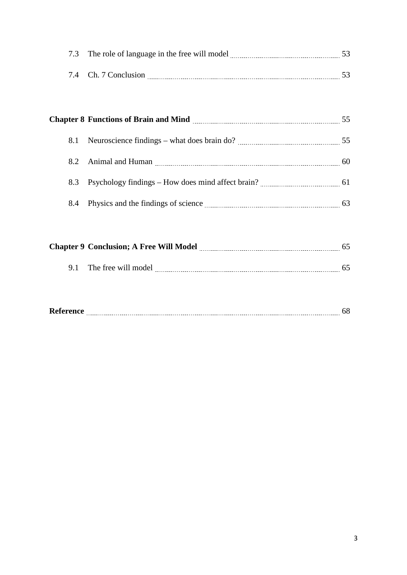| 7.3 The role of language in the free will model |  |
|-------------------------------------------------|--|
|                                                 |  |
| 7.4 Ch 7 Conclusion                             |  |

|     | Chapter 8 Functions of Brain and Mind <b>Mind Chapter 8</b> Functions of Brain and Mind <b>Mind Material Chapter 8</b> Functions of Brain and Mind <b>Mind Material</b>                                                            | 55 |
|-----|------------------------------------------------------------------------------------------------------------------------------------------------------------------------------------------------------------------------------------|----|
| 8.1 |                                                                                                                                                                                                                                    |    |
|     |                                                                                                                                                                                                                                    |    |
| 8.3 |                                                                                                                                                                                                                                    |    |
|     | 8.4 Physics and the findings of science <u>manual contracts</u> and the findings of science manual contracts and the findings of science manual contracts and the findings of science manual contracts and the findings of science | 63 |

| <b>Chapter 9 Conclusion; A Free Will Model</b> |  |
|------------------------------------------------|--|
| 9.1 The free will model                        |  |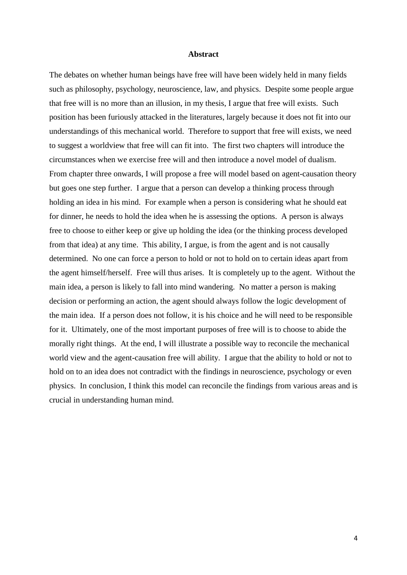#### **Abstract**

The debates on whether human beings have free will have been widely held in many fields such as philosophy, psychology, neuroscience, law, and physics. Despite some people argue that free will is no more than an illusion, in my thesis, I argue that free will exists. Such position has been furiously attacked in the literatures, largely because it does not fit into our understandings of this mechanical world. Therefore to support that free will exists, we need to suggest a worldview that free will can fit into. The first two chapters will introduce the circumstances when we exercise free will and then introduce a novel model of dualism. From chapter three onwards, I will propose a free will model based on agent-causation theory but goes one step further. I argue that a person can develop a thinking process through holding an idea in his mind. For example when a person is considering what he should eat for dinner, he needs to hold the idea when he is assessing the options. A person is always free to choose to either keep or give up holding the idea (or the thinking process developed from that idea) at any time. This ability, I argue, is from the agent and is not causally determined. No one can force a person to hold or not to hold on to certain ideas apart from the agent himself/herself. Free will thus arises. It is completely up to the agent. Without the main idea, a person is likely to fall into mind wandering. No matter a person is making decision or performing an action, the agent should always follow the logic development of the main idea. If a person does not follow, it is his choice and he will need to be responsible for it. Ultimately, one of the most important purposes of free will is to choose to abide the morally right things. At the end, I will illustrate a possible way to reconcile the mechanical world view and the agent-causation free will ability. I argue that the ability to hold or not to hold on to an idea does not contradict with the findings in neuroscience, psychology or even physics. In conclusion, I think this model can reconcile the findings from various areas and is crucial in understanding human mind.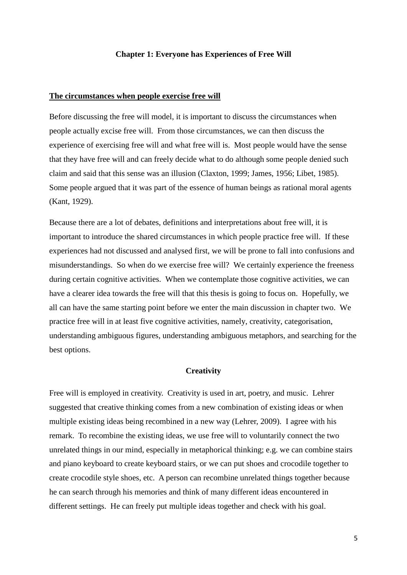#### **Chapter 1: Everyone has Experiences of Free Will**

#### **The circumstances when people exercise free will**

Before discussing the free will model, it is important to discuss the circumstances when people actually excise free will. From those circumstances, we can then discuss the experience of exercising free will and what free will is. Most people would have the sense that they have free will and can freely decide what to do although some people denied such claim and said that this sense was an illusion [\(Claxton, 1999;](#page-68-0) [James, 1956;](#page-70-0) [Libet, 1985\)](#page-70-1). Some people argued that it was part of the essence of human beings as rational moral agents [\(Kant, 1929\)](#page-70-2).

Because there are a lot of debates, definitions and interpretations about free will, it is important to introduce the shared circumstances in which people practice free will. If these experiences had not discussed and analysed first, we will be prone to fall into confusions and misunderstandings. So when do we exercise free will? We certainly experience the freeness during certain cognitive activities. When we contemplate those cognitive activities, we can have a clearer idea towards the free will that this thesis is going to focus on. Hopefully, we all can have the same starting point before we enter the main discussion in chapter two. We practice free will in at least five cognitive activities, namely, creativity, categorisation, understanding ambiguous figures, understanding ambiguous metaphors, and searching for the best options.

## **Creativity**

Free will is employed in creativity. Creativity is used in art, poetry, and music. Lehrer suggested that creative thinking comes from a new combination of existing ideas or when multiple existing ideas being recombined in a new way (Lehrer, 2009). I agree with his remark. To recombine the existing ideas, we use free will to voluntarily connect the two unrelated things in our mind, especially in metaphorical thinking; e.g. we can combine stairs and piano keyboard to create keyboard stairs, or we can put shoes and crocodile together to create crocodile style shoes, etc. A person can recombine unrelated things together because he can search through his memories and think of many different ideas encountered in different settings. He can freely put multiple ideas together and check with his goal.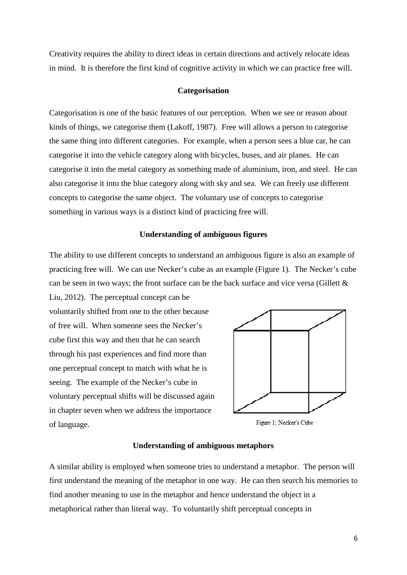Creativity requires the ability to direct ideas in certain directions and actively relocate ideas in mind. It is therefore the first kind of cognitive activity in which we can practice free will.

#### **Categorisation**

Categorisation is one of the basic features of our perception. When we see or reason about kinds of things, we categorise them [\(Lakoff, 1987\)](#page-70-3). Free will allows a person to categorise the same thing into different categories. For example, when a person sees a blue car, he can categorise it into the vehicle category along with bicycles, buses, and air planes. He can categorise it into the metal category as something made of aluminium, iron, and steel. He can also categorise it into the blue category along with sky and sea. We can freely use different concepts to categorise the same object. The voluntary use of concepts to categorise something in various ways is a distinct kind of practicing free will.

#### **Understanding of ambiguous figures**

The ability to use different concepts to understand an ambiguous figure is also an example of practicing free will. We can use Necker's cube as an example (Figure 1). The Necker's cube can be seen in two ways; the front surface can be the back surface and vice versa [\(Gillett &](#page-69-0) 

[Liu, 2012\)](#page-69-0). The perceptual concept can be voluntarily shifted from one to the other because of free will. When someone sees the Necker's cube first this way and then that he can search through his past experiences and find more than one perceptual concept to match with what he is seeing. The example of the Necker's cube in voluntary perceptual shifts will be discussed again in chapter seven when we address the importance of language.



Figure 1; Necker's Cube

#### **Understanding of ambiguous metaphors**

A similar ability is employed when someone tries to understand a metaphor. The person will first understand the meaning of the metaphor in one way. He can then search his memories to find another meaning to use in the metaphor and hence understand the object in a metaphorical rather than literal way. To voluntarily shift perceptual concepts in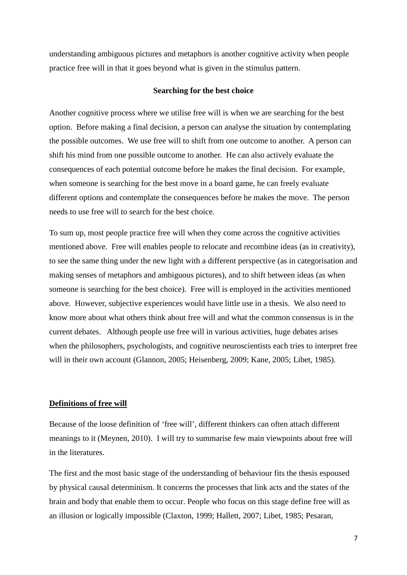understanding ambiguous pictures and metaphors is another cognitive activity when people practice free will in that it goes beyond what is given in the stimulus pattern.

#### **Searching for the best choice**

Another cognitive process where we utilise free will is when we are searching for the best option. Before making a final decision, a person can analyse the situation by contemplating the possible outcomes. We use free will to shift from one outcome to another. A person can shift his mind from one possible outcome to another. He can also actively evaluate the consequences of each potential outcome before he makes the final decision. For example, when someone is searching for the best move in a board game, he can freely evaluate different options and contemplate the consequences before he makes the move. The person needs to use free will to search for the best choice.

To sum up, most people practice free will when they come across the cognitive activities mentioned above. Free will enables people to relocate and recombine ideas (as in creativity), to see the same thing under the new light with a different perspective (as in categorisation and making senses of metaphors and ambiguous pictures), and to shift between ideas (as when someone is searching for the best choice). Free will is employed in the activities mentioned above. However, subjective experiences would have little use in a thesis. We also need to know more about what others think about free will and what the common consensus is in the current debates. Although people use free will in various activities, huge debates arises when the philosophers, psychologists, and cognitive neuroscientists each tries to interpret free will in their own account [\(Glannon, 2005;](#page-69-1) [Heisenberg, 2009;](#page-70-4) [Kane, 2005;](#page-70-5) [Libet, 1985\)](#page-70-1).

## **Definitions of free will**

Because of the loose definition of 'free will', different thinkers can often attach different meanings to it [\(Meynen, 2010\)](#page-71-0). I will try to summarise few main viewpoints about free will in the literatures.

The first and the most basic stage of the understanding of behaviour fits the thesis espoused by physical causal determinism. It concerns the processes that link acts and the states of the brain and body that enable them to occur. People who focus on this stage define free will as an illusion or logically impossible [\(Claxton, 1999;](#page-68-0) [Hallett, 2007;](#page-70-6) [Libet, 1985;](#page-70-1) [Pesaran,](#page-71-1)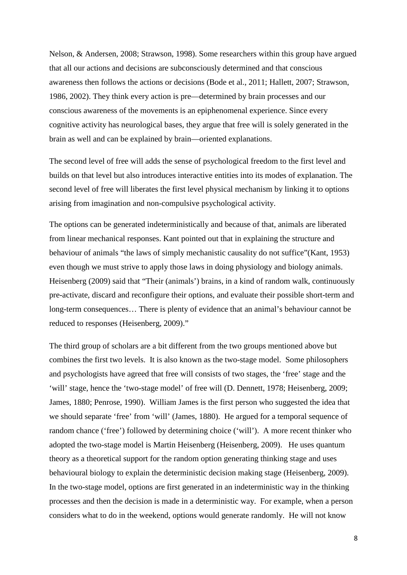[Nelson, & Andersen, 2008;](#page-71-1) [Strawson, 1998\)](#page-72-0). Some researchers within this group have argued that all our actions and decisions are subconsciously determined and that conscious awareness then follows the actions or decisions [\(Bode et al., 2011;](#page-68-1) [Hallett, 2007;](#page-70-6) [Strawson,](#page-72-1)  [1986,](#page-72-1) [2002\)](#page-72-2). They think every action is pre—determined by brain processes and our conscious awareness of the movements is an epiphenomenal experience. Since every cognitive activity has neurological bases, they argue that free will is solely generated in the brain as well and can be explained by brain—oriented explanations.

The second level of free will adds the sense of psychological freedom to the first level and builds on that level but also introduces interactive entities into its modes of explanation. The second level of free will liberates the first level physical mechanism by linking it to options arising from imagination and non-compulsive psychological activity.

The options can be generated indeterministically and because of that, animals are liberated from linear mechanical responses. Kant pointed out that in explaining the structure and behaviour of animals "the laws of simply mechanistic causality do not suffice"[\(Kant, 1953\)](#page-70-7) even though we must strive to apply those laws in doing physiology and biology animals. Heisenberg (2009) said that "Their (animals') brains, in a kind of random walk, continuously pre-activate, discard and reconfigure their options, and evaluate their possible short-term and long-term consequences… There is plenty of evidence that an animal's behaviour cannot be reduced to responses [\(Heisenberg, 2009\)](#page-70-4)."

The third group of scholars are a bit different from the two groups mentioned above but combines the first two levels. It is also known as the two-stage model. Some philosophers and psychologists have agreed that free will consists of two stages, the 'free' stage and the 'will' stage, hence the 'two-stage model' of free will [\(D. Dennett, 1978;](#page-69-2) [Heisenberg, 2009;](#page-70-4) [James, 1880;](#page-70-8) [Penrose, 1990\)](#page-71-2). William James is the first person who suggested the idea that we should separate 'free' from 'will' [\(James, 1880\)](#page-70-8). He argued for a temporal sequence of random chance ('free') followed by determining choice ('will'). A more recent thinker who adopted the two-stage model is Martin Heisenberg [\(Heisenberg, 2009\)](#page-70-4). He uses quantum theory as a theoretical support for the random option generating thinking stage and uses behavioural biology to explain the deterministic decision making stage [\(Heisenberg, 2009\)](#page-70-4). In the two-stage model, options are first generated in an indeterministic way in the thinking processes and then the decision is made in a deterministic way. For example, when a person considers what to do in the weekend, options would generate randomly. He will not know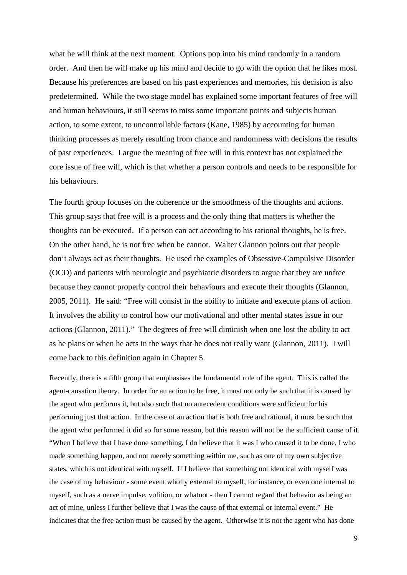what he will think at the next moment. Options pop into his mind randomly in a random order. And then he will make up his mind and decide to go with the option that he likes most. Because his preferences are based on his past experiences and memories, his decision is also predetermined. While the two stage model has explained some important features of free will and human behaviours, it still seems to miss some important points and subjects human action, to some extent, to uncontrollable factors [\(Kane, 1985\)](#page-70-9) by accounting for human thinking processes as merely resulting from chance and randomness with decisions the results of past experiences. I argue the meaning of free will in this context has not explained the core issue of free will, which is that whether a person controls and needs to be responsible for his behaviours.

The fourth group focuses on the coherence or the smoothness of the thoughts and actions. This group says that free will is a process and the only thing that matters is whether the thoughts can be executed. If a person can act according to his rational thoughts, he is free. On the other hand, he is not free when he cannot. Walter Glannon points out that people don't always act as their thoughts. He used the examples of Obsessive-Compulsive Disorder (OCD) and patients with neurologic and psychiatric disorders to argue that they are unfree because they cannot properly control their behaviours and execute their thoughts [\(Glannon,](#page-69-1)  [2005,](#page-69-1) [2011\)](#page-69-3). He said: "Free will consist in the ability to initiate and execute plans of action. It involves the ability to control how our motivational and other mental states issue in our actions [\(Glannon, 2011\)](#page-69-3)." The degrees of free will diminish when one lost the ability to act as he plans or when he acts in the ways that he does not really want [\(Glannon, 2011\)](#page-69-3). I will come back to this definition again in Chapter 5.

Recently, there is a fifth group that emphasises the fundamental role of the agent. This is called the agent-causation theory. In order for an action to be free, it must not only be such that it is caused by the agent who performs it, but also such that no antecedent conditions were sufficient for his performing just that action. In the case of an action that is both free and rational, it must be such that the agent who performed it did so for some reason, but this reason will not be the sufficient cause of it. "When I believe that I have done something, I do believe that it was I who caused it to be done, I who made something happen, and not merely something within me, such as one of my own subjective states, which is not identical with myself. If I believe that something not identical with myself was the case of my behaviour - some event wholly external to myself, for instance, or even one internal to myself, such as a nerve impulse, volition, or whatnot - then I cannot regard that behavior as being an act of mine, unless I further believe that I was the cause of that external or internal event." He indicates that the free action must be caused by the agent. Otherwise it is not the agent who has done

9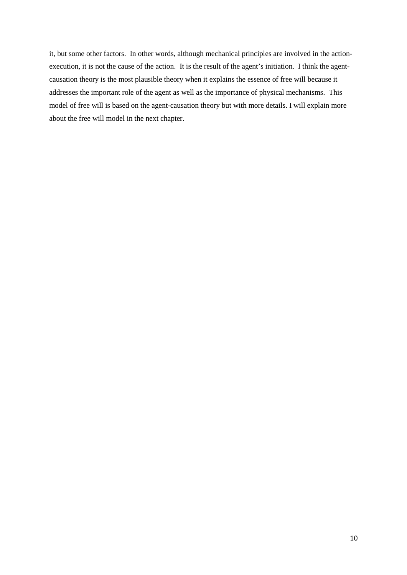it, but some other factors. In other words, although mechanical principles are involved in the actionexecution, it is not the cause of the action. It is the result of the agent's initiation. I think the agentcausation theory is the most plausible theory when it explains the essence of free will because it addresses the important role of the agent as well as the importance of physical mechanisms. This model of free will is based on the agent-causation theory but with more details. I will explain more about the free will model in the next chapter.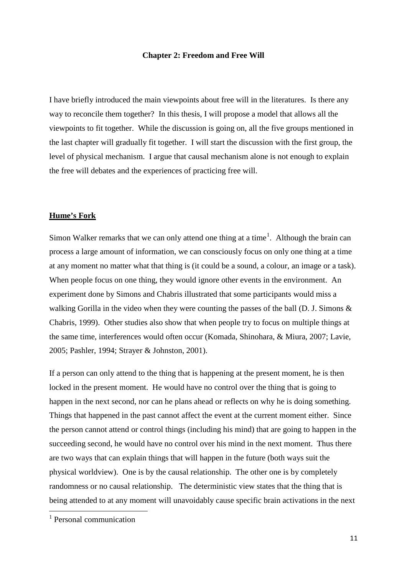#### **Chapter 2: Freedom and Free Will**

I have briefly introduced the main viewpoints about free will in the literatures. Is there any way to reconcile them together? In this thesis, I will propose a model that allows all the viewpoints to fit together. While the discussion is going on, all the five groups mentioned in the last chapter will gradually fit together. I will start the discussion with the first group, the level of physical mechanism. I argue that causal mechanism alone is not enough to explain the free will debates and the experiences of practicing free will.

#### **Hume's Fork**

Simon Walker remarks that we can only attend one thing at a time<sup>[1](#page-11-0)</sup>. Although the brain can process a large amount of information, we can consciously focus on only one thing at a time at any moment no matter what that thing is (it could be a sound, a colour, an image or a task). When people focus on one thing, they would ignore other events in the environment. An experiment done by Simons and Chabris illustrated that some participants would miss a walking Gorilla in the video when they were counting the passes of the ball [\(D. J. Simons &](#page-71-3)  [Chabris, 1999\)](#page-71-3). Other studies also show that when people try to focus on multiple things at the same time, interferences would often occur [\(Komada, Shinohara, & Miura, 2007;](#page-70-10) [Lavie,](#page-70-11)  [2005;](#page-70-11) [Pashler, 1994;](#page-71-4) [Strayer & Johnston, 2001\)](#page-72-3).

If a person can only attend to the thing that is happening at the present moment, he is then locked in the present moment. He would have no control over the thing that is going to happen in the next second, nor can he plans ahead or reflects on why he is doing something. Things that happened in the past cannot affect the event at the current moment either. Since the person cannot attend or control things (including his mind) that are going to happen in the succeeding second, he would have no control over his mind in the next moment. Thus there are two ways that can explain things that will happen in the future (both ways suit the physical worldview). One is by the causal relationship. The other one is by completely randomness or no causal relationship. The deterministic view states that the thing that is being attended to at any moment will unavoidably cause specific brain activations in the next

<span id="page-11-0"></span><sup>&</sup>lt;sup>1</sup> Personal communication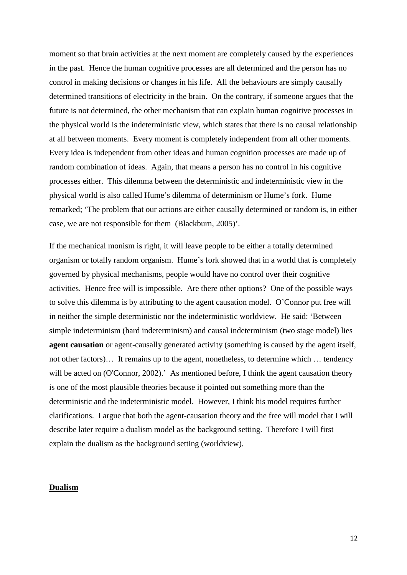moment so that brain activities at the next moment are completely caused by the experiences in the past. Hence the human cognitive processes are all determined and the person has no control in making decisions or changes in his life. All the behaviours are simply causally determined transitions of electricity in the brain. On the contrary, if someone argues that the future is not determined, the other mechanism that can explain human cognitive processes in the physical world is the indeterministic view, which states that there is no causal relationship at all between moments. Every moment is completely independent from all other moments. Every idea is independent from other ideas and human cognition processes are made up of random combination of ideas. Again, that means a person has no control in his cognitive processes either. This dilemma between the deterministic and indeterministic view in the physical world is also called Hume's dilemma of determinism or Hume's fork. Hume remarked; 'The problem that our actions are either causally determined or random is, in either case, we are not responsible for them [\(Blackburn, 2005\)](#page-68-2)'.

If the mechanical monism is right, it will leave people to be either a totally determined organism or totally random organism. Hume's fork showed that in a world that is completely governed by physical mechanisms, people would have no control over their cognitive activities. Hence free will is impossible. Are there other options? One of the possible ways to solve this dilemma is by attributing to the agent causation model. O'Connor put free will in neither the simple deterministic nor the indeterministic worldview. He said: 'Between simple indeterminism (hard indeterminism) and causal indeterminism (two stage model) lies **agent causation** or agent-causally generated activity (something is caused by the agent itself, not other factors)… It remains up to the agent, nonetheless, to determine which … tendency will be acted on [\(O'Connor, 2002\)](#page-71-5).' As mentioned before, I think the agent causation theory is one of the most plausible theories because it pointed out something more than the deterministic and the indeterministic model. However, I think his model requires further clarifications. I argue that both the agent-causation theory and the free will model that I will describe later require a dualism model as the background setting. Therefore I will first explain the dualism as the background setting (worldview).

#### **Dualism**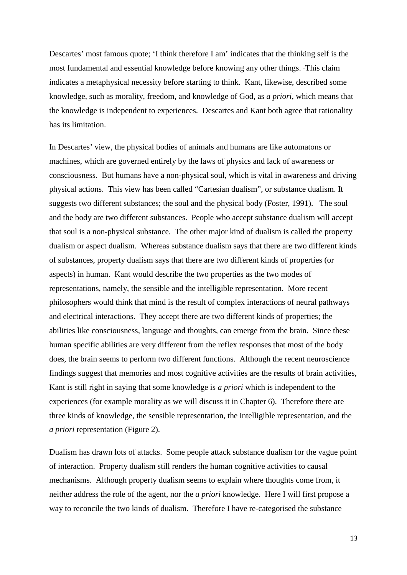Descartes' most famous quote; 'I think therefore I am' indicates that the thinking self is the most fundamental and essential knowledge before knowing any other things. This claim indicates a metaphysical necessity before starting to think. Kant, likewise, described some knowledge, such as morality, freedom, and knowledge of God, as *a priori*, which means that the knowledge is independent to experiences. Descartes and Kant both agree that rationality has its limitation.

In Descartes' view, the physical bodies of animals and humans are like automatons or machines, which are governed entirely by the laws of physics and lack of awareness or consciousness. But humans have a non-physical soul, which is vital in awareness and driving physical actions. This view has been called "Cartesian dualism", or substance dualism. It suggests two different substances; the soul and the physical body [\(Foster, 1991\)](#page-69-4). The soul and the body are two different substances. People who accept substance dualism will accept that soul is a non-physical substance. The other major kind of dualism is called the property dualism or aspect dualism. Whereas substance dualism says that there are two different kinds of substances, property dualism says that there are two different kinds of properties (or aspects) in human. Kant would describe the two properties as the two modes of representations, namely, the sensible and the intelligible representation. More recent philosophers would think that mind is the result of complex interactions of neural pathways and electrical interactions. They accept there are two different kinds of properties; the abilities like consciousness, language and thoughts, can emerge from the brain. Since these human specific abilities are very different from the reflex responses that most of the body does, the brain seems to perform two different functions. Although the recent neuroscience findings suggest that memories and most cognitive activities are the results of brain activities, Kant is still right in saying that some knowledge is *a priori* which is independent to the experiences (for example morality as we will discuss it in Chapter 6). Therefore there are three kinds of knowledge, the sensible representation, the intelligible representation, and the *a priori* representation (Figure 2).

Dualism has drawn lots of attacks. Some people attack substance dualism for the vague point of interaction. Property dualism still renders the human cognitive activities to causal mechanisms. Although property dualism seems to explain where thoughts come from, it neither address the role of the agent, nor the *a priori* knowledge. Here I will first propose a way to reconcile the two kinds of dualism. Therefore I have re-categorised the substance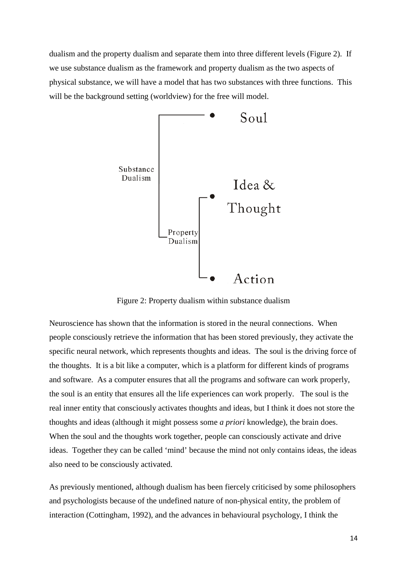dualism and the property dualism and separate them into three different levels (Figure 2). If we use substance dualism as the framework and property dualism as the two aspects of physical substance, we will have a model that has two substances with three functions. This will be the background setting (worldview) for the free will model.



Figure 2: Property dualism within substance dualism

Neuroscience has shown that the information is stored in the neural connections. When people consciously retrieve the information that has been stored previously, they activate the specific neural network, which represents thoughts and ideas. The soul is the driving force of the thoughts. It is a bit like a computer, which is a platform for different kinds of programs and software. As a computer ensures that all the programs and software can work properly, the soul is an entity that ensures all the life experiences can work properly. The soul is the real inner entity that consciously activates thoughts and ideas, but I think it does not store the thoughts and ideas (although it might possess some *a priori* knowledge), the brain does. When the soul and the thoughts work together, people can consciously activate and drive ideas. Together they can be called 'mind' because the mind not only contains ideas, the ideas also need to be consciously activated.

As previously mentioned, although dualism has been fiercely criticised by some philosophers and psychologists because of the undefined nature of non-physical entity, the problem of interaction [\(Cottingham, 1992\)](#page-69-5), and the advances in behavioural psychology, I think the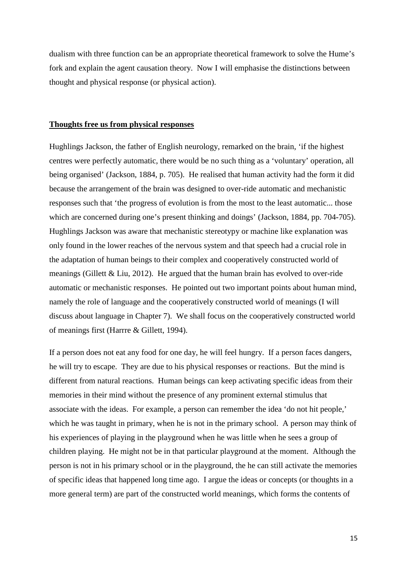dualism with three function can be an appropriate theoretical framework to solve the Hume's fork and explain the agent causation theory. Now I will emphasise the distinctions between thought and physical response (or physical action).

#### **Thoughts free us from physical responses**

Hughlings Jackson, the father of English neurology, remarked on the brain, 'if the highest centres were perfectly automatic, there would be no such thing as a 'voluntary' operation, all being organised' [\(Jackson, 1884, p. 705\)](#page-70-12). He realised that human activity had the form it did because the arrangement of the brain was designed to over-ride automatic and mechanistic responses such that 'the progress of evolution is from the most to the least automatic... those which are concerned during one's present thinking and doings' [\(Jackson, 1884, pp. 704-705\)](#page-70-12). Hughlings Jackson was aware that mechanistic stereotypy or machine like explanation was only found in the lower reaches of the nervous system and that speech had a crucial role in the adaptation of human beings to their complex and cooperatively constructed world of meanings [\(Gillett & Liu, 2012\)](#page-69-0). He argued that the human brain has evolved to over-ride automatic or mechanistic responses. He pointed out two important points about human mind, namely the role of language and the cooperatively constructed world of meanings (I will discuss about language in Chapter 7). We shall focus on the cooperatively constructed world of meanings first [\(Harrre & Gillett, 1994\)](#page-70-13).

If a person does not eat any food for one day, he will feel hungry. If a person faces dangers, he will try to escape. They are due to his physical responses or reactions. But the mind is different from natural reactions. Human beings can keep activating specific ideas from their memories in their mind without the presence of any prominent external stimulus that associate with the ideas. For example, a person can remember the idea 'do not hit people,' which he was taught in primary, when he is not in the primary school. A person may think of his experiences of playing in the playground when he was little when he sees a group of children playing. He might not be in that particular playground at the moment. Although the person is not in his primary school or in the playground, the he can still activate the memories of specific ideas that happened long time ago. I argue the ideas or concepts (or thoughts in a more general term) are part of the constructed world meanings, which forms the contents of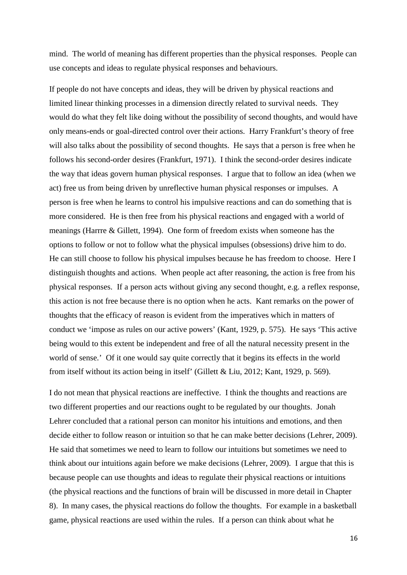mind. The world of meaning has different properties than the physical responses. People can use concepts and ideas to regulate physical responses and behaviours.

If people do not have concepts and ideas, they will be driven by physical reactions and limited linear thinking processes in a dimension directly related to survival needs. They would do what they felt like doing without the possibility of second thoughts, and would have only means-ends or goal-directed control over their actions. Harry Frankfurt's theory of free will also talks about the possibility of second thoughts. He says that a person is free when he follows his second-order desires [\(Frankfurt, 1971\)](#page-69-6). I think the second-order desires indicate the way that ideas govern human physical responses. I argue that to follow an idea (when we act) free us from being driven by unreflective human physical responses or impulses. A person is free when he learns to control his impulsive reactions and can do something that is more considered. He is then free from his physical reactions and engaged with a world of meanings [\(Harrre & Gillett, 1994\)](#page-70-13). One form of freedom exists when someone has the options to follow or not to follow what the physical impulses (obsessions) drive him to do. He can still choose to follow his physical impulses because he has freedom to choose. Here I distinguish thoughts and actions. When people act after reasoning, the action is free from his physical responses. If a person acts without giving any second thought, e.g. a reflex response, this action is not free because there is no option when he acts. Kant remarks on the power of thoughts that the efficacy of reason is evident from the imperatives which in matters of conduct we 'impose as rules on our active powers' [\(Kant, 1929, p. 575\)](#page-70-2). He says 'This active being would to this extent be independent and free of all the natural necessity present in the world of sense.' Of it one would say quite correctly that it begins its effects in the world from itself without its action being in itself' [\(Gillett & Liu, 2012;](#page-69-0) [Kant, 1929, p. 569\)](#page-70-2).

I do not mean that physical reactions are ineffective. I think the thoughts and reactions are two different properties and our reactions ought to be regulated by our thoughts. Jonah Lehrer concluded that a rational person can monitor his intuitions and emotions, and then decide either to follow reason or intuition so that he can make better decisions [\(Lehrer, 2009\)](#page-70-14). He said that sometimes we need to learn to follow our intuitions but sometimes we need to think about our intuitions again before we make decisions [\(Lehrer, 2009\)](#page-70-14). I argue that this is because people can use thoughts and ideas to regulate their physical reactions or intuitions (the physical reactions and the functions of brain will be discussed in more detail in Chapter 8). In many cases, the physical reactions do follow the thoughts. For example in a basketball game, physical reactions are used within the rules. If a person can think about what he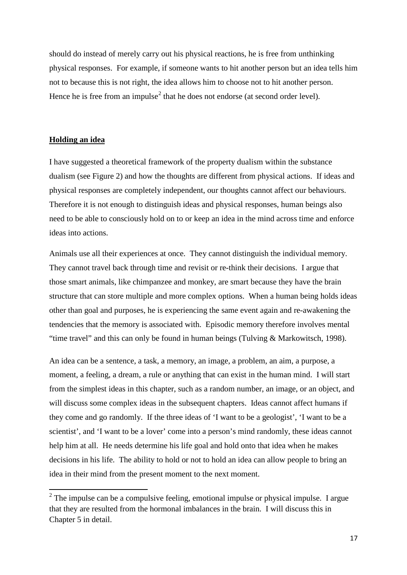should do instead of merely carry out his physical reactions, he is free from unthinking physical responses. For example, if someone wants to hit another person but an idea tells him not to because this is not right, the idea allows him to choose not to hit another person. Hence he is free from an impulse<sup>[2](#page-17-0)</sup> that he does not endorse (at second order level).

#### **Holding an idea**

I have suggested a theoretical framework of the property dualism within the substance dualism (see Figure 2) and how the thoughts are different from physical actions. If ideas and physical responses are completely independent, our thoughts cannot affect our behaviours. Therefore it is not enough to distinguish ideas and physical responses, human beings also need to be able to consciously hold on to or keep an idea in the mind across time and enforce ideas into actions.

Animals use all their experiences at once. They cannot distinguish the individual memory. They cannot travel back through time and revisit or re-think their decisions. I argue that those smart animals, like chimpanzee and monkey, are smart because they have the brain structure that can store multiple and more complex options. When a human being holds ideas other than goal and purposes, he is experiencing the same event again and re-awakening the tendencies that the memory is associated with. Episodic memory therefore involves mental "time travel" and this can only be found in human beings [\(Tulving & Markowitsch, 1998\)](#page-72-4).

An idea can be a sentence, a task, a memory, an image, a problem, an aim, a purpose, a moment, a feeling, a dream, a rule or anything that can exist in the human mind. I will start from the simplest ideas in this chapter, such as a random number, an image, or an object, and will discuss some complex ideas in the subsequent chapters. Ideas cannot affect humans if they come and go randomly. If the three ideas of 'I want to be a geologist', 'I want to be a scientist', and 'I want to be a lover' come into a person's mind randomly, these ideas cannot help him at all. He needs determine his life goal and hold onto that idea when he makes decisions in his life. The ability to hold or not to hold an idea can allow people to bring an idea in their mind from the present moment to the next moment.

<span id="page-17-0"></span> $2$  The impulse can be a compulsive feeling, emotional impulse or physical impulse. I argue that they are resulted from the hormonal imbalances in the brain. I will discuss this in Chapter 5 in detail.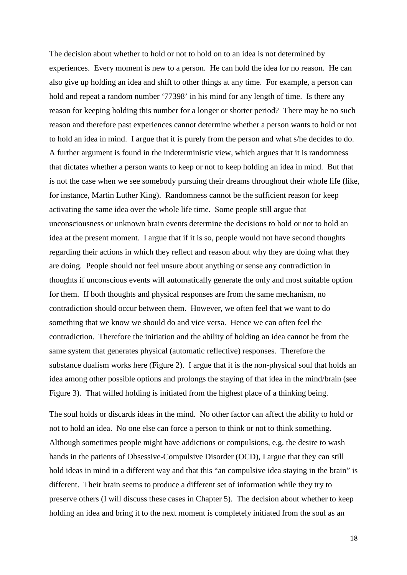The decision about whether to hold or not to hold on to an idea is not determined by experiences. Every moment is new to a person. He can hold the idea for no reason. He can also give up holding an idea and shift to other things at any time. For example, a person can hold and repeat a random number '77398' in his mind for any length of time. Is there any reason for keeping holding this number for a longer or shorter period? There may be no such reason and therefore past experiences cannot determine whether a person wants to hold or not to hold an idea in mind. I argue that it is purely from the person and what s/he decides to do. A further argument is found in the indeterministic view, which argues that it is randomness that dictates whether a person wants to keep or not to keep holding an idea in mind. But that is not the case when we see somebody pursuing their dreams throughout their whole life (like, for instance, Martin Luther King). Randomness cannot be the sufficient reason for keep activating the same idea over the whole life time. Some people still argue that unconsciousness or unknown brain events determine the decisions to hold or not to hold an idea at the present moment. I argue that if it is so, people would not have second thoughts regarding their actions in which they reflect and reason about why they are doing what they are doing. People should not feel unsure about anything or sense any contradiction in thoughts if unconscious events will automatically generate the only and most suitable option for them. If both thoughts and physical responses are from the same mechanism, no contradiction should occur between them. However, we often feel that we want to do something that we know we should do and vice versa. Hence we can often feel the contradiction. Therefore the initiation and the ability of holding an idea cannot be from the same system that generates physical (automatic reflective) responses. Therefore the substance dualism works here (Figure 2). I argue that it is the non-physical soul that holds an idea among other possible options and prolongs the staying of that idea in the mind/brain (see Figure 3). That willed holding is initiated from the highest place of a thinking being.

The soul holds or discards ideas in the mind. No other factor can affect the ability to hold or not to hold an idea. No one else can force a person to think or not to think something. Although sometimes people might have addictions or compulsions, e.g. the desire to wash hands in the patients of Obsessive-Compulsive Disorder (OCD), I argue that they can still hold ideas in mind in a different way and that this "an compulsive idea staying in the brain" is different. Their brain seems to produce a different set of information while they try to preserve others (I will discuss these cases in Chapter 5). The decision about whether to keep holding an idea and bring it to the next moment is completely initiated from the soul as an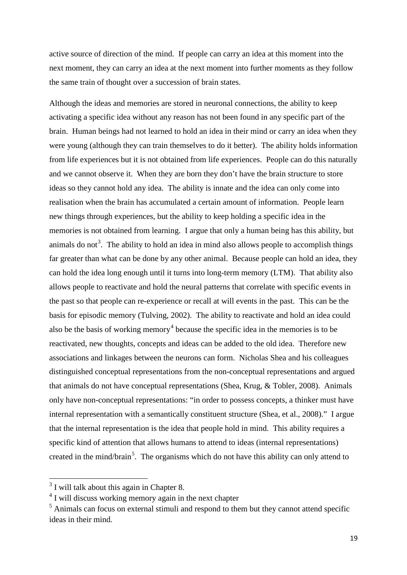active source of direction of the mind. If people can carry an idea at this moment into the next moment, they can carry an idea at the next moment into further moments as they follow the same train of thought over a succession of brain states.

Although the ideas and memories are stored in neuronal connections, the ability to keep activating a specific idea without any reason has not been found in any specific part of the brain. Human beings had not learned to hold an idea in their mind or carry an idea when they were young (although they can train themselves to do it better). The ability holds information from life experiences but it is not obtained from life experiences. People can do this naturally and we cannot observe it. When they are born they don't have the brain structure to store ideas so they cannot hold any idea. The ability is innate and the idea can only come into realisation when the brain has accumulated a certain amount of information. People learn new things through experiences, but the ability to keep holding a specific idea in the memories is not obtained from learning. I argue that only a human being has this ability, but animals do not<sup>[3](#page-19-0)</sup>. The ability to hold an idea in mind also allows people to accomplish things far greater than what can be done by any other animal. Because people can hold an idea, they can hold the idea long enough until it turns into long-term memory (LTM). That ability also allows people to reactivate and hold the neural patterns that correlate with specific events in the past so that people can re-experience or recall at will events in the past. This can be the basis for episodic memory [\(Tulving, 2002\)](#page-72-5). The ability to reactivate and hold an idea could also be the basis of working memory<sup>[4](#page-19-1)</sup> because the specific idea in the memories is to be reactivated, new thoughts, concepts and ideas can be added to the old idea. Therefore new associations and linkages between the neurons can form. Nicholas Shea and his colleagues distinguished conceptual representations from the non-conceptual representations and argued that animals do not have conceptual representations [\(Shea, Krug, & Tobler, 2008\)](#page-71-6). Animals only have non-conceptual representations: "in order to possess concepts, a thinker must have internal representation with a semantically constituent structure [\(Shea, et al., 2008\)](#page-71-6)." I argue that the internal representation is the idea that people hold in mind. This ability requires a specific kind of attention that allows humans to attend to ideas (internal representations) created in the mind/brain<sup>[5](#page-19-2)</sup>. The organisms which do not have this ability can only attend to

<span id="page-19-0"></span> $3$  I will talk about this again in Chapter 8.

<span id="page-19-1"></span><sup>&</sup>lt;sup>4</sup> I will discuss working memory again in the next chapter

<span id="page-19-2"></span><sup>5</sup> Animals can focus on external stimuli and respond to them but they cannot attend specific ideas in their mind.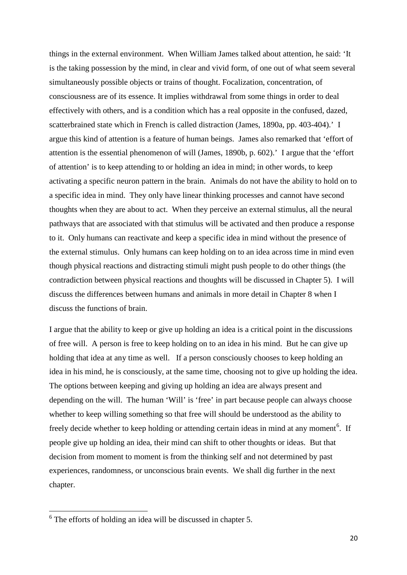things in the external environment. When William James talked about attention, he said: 'It is the taking possession by the mind, in clear and vivid form, of one out of what seem several simultaneously possible objects or trains of thought. Focalization, concentration, of consciousness are of its essence. It implies withdrawal from some things in order to deal effectively with others, and is a condition which has a real opposite in the confused, dazed, scatterbrained state which in French is called distraction [\(James, 1890a, pp. 403-404\)](#page-70-15).' I argue this kind of attention is a feature of human beings. James also remarked that 'effort of attention is the essential phenomenon of will [\(James, 1890b, p. 602\)](#page-70-16).' I argue that the 'effort of attention' is to keep attending to or holding an idea in mind; in other words, to keep activating a specific neuron pattern in the brain. Animals do not have the ability to hold on to a specific idea in mind. They only have linear thinking processes and cannot have second thoughts when they are about to act. When they perceive an external stimulus, all the neural pathways that are associated with that stimulus will be activated and then produce a response to it. Only humans can reactivate and keep a specific idea in mind without the presence of the external stimulus. Only humans can keep holding on to an idea across time in mind even though physical reactions and distracting stimuli might push people to do other things (the contradiction between physical reactions and thoughts will be discussed in Chapter 5). I will discuss the differences between humans and animals in more detail in Chapter 8 when I discuss the functions of brain.

I argue that the ability to keep or give up holding an idea is a critical point in the discussions of free will. A person is free to keep holding on to an idea in his mind. But he can give up holding that idea at any time as well. If a person consciously chooses to keep holding an idea in his mind, he is consciously, at the same time, choosing not to give up holding the idea. The options between keeping and giving up holding an idea are always present and depending on the will. The human 'Will' is 'free' in part because people can always choose whether to keep willing something so that free will should be understood as the ability to freely decide whether to keep holding or attending certain ideas in mind at any moment<sup>[6](#page-20-0)</sup>. If people give up holding an idea, their mind can shift to other thoughts or ideas. But that decision from moment to moment is from the thinking self and not determined by past experiences, randomness, or unconscious brain events. We shall dig further in the next chapter.

<span id="page-20-0"></span><sup>6</sup> The efforts of holding an idea will be discussed in chapter 5.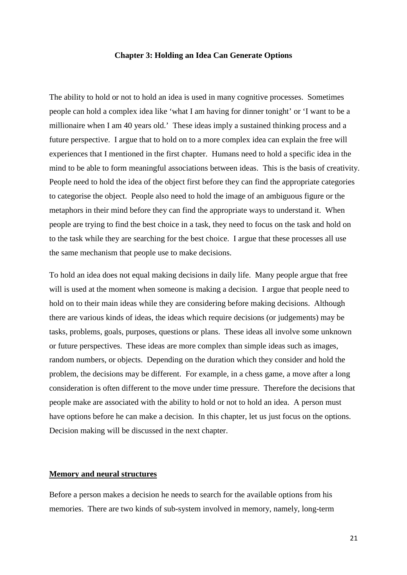#### **Chapter 3: Holding an Idea Can Generate Options**

The ability to hold or not to hold an idea is used in many cognitive processes. Sometimes people can hold a complex idea like 'what I am having for dinner tonight' or 'I want to be a millionaire when I am 40 years old.' These ideas imply a sustained thinking process and a future perspective. I argue that to hold on to a more complex idea can explain the free will experiences that I mentioned in the first chapter. Humans need to hold a specific idea in the mind to be able to form meaningful associations between ideas. This is the basis of creativity. People need to hold the idea of the object first before they can find the appropriate categories to categorise the object. People also need to hold the image of an ambiguous figure or the metaphors in their mind before they can find the appropriate ways to understand it. When people are trying to find the best choice in a task, they need to focus on the task and hold on to the task while they are searching for the best choice. I argue that these processes all use the same mechanism that people use to make decisions.

To hold an idea does not equal making decisions in daily life. Many people argue that free will is used at the moment when someone is making a decision. I argue that people need to hold on to their main ideas while they are considering before making decisions. Although there are various kinds of ideas, the ideas which require decisions (or judgements) may be tasks, problems, goals, purposes, questions or plans. These ideas all involve some unknown or future perspectives. These ideas are more complex than simple ideas such as images, random numbers, or objects. Depending on the duration which they consider and hold the problem, the decisions may be different. For example, in a chess game, a move after a long consideration is often different to the move under time pressure. Therefore the decisions that people make are associated with the ability to hold or not to hold an idea. A person must have options before he can make a decision. In this chapter, let us just focus on the options. Decision making will be discussed in the next chapter.

#### **Memory and neural structures**

Before a person makes a decision he needs to search for the available options from his memories. There are two kinds of sub-system involved in memory, namely, long-term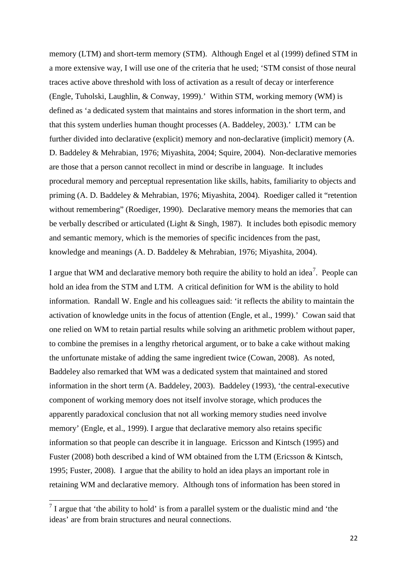memory (LTM) and short-term memory (STM). Although Engel et al (1999) defined STM in a more extensive way, I will use one of the criteria that he used; 'STM consist of those neural traces active above threshold with loss of activation as a result of decay or interference [\(Engle, Tuholski, Laughlin, & Conway, 1999\)](#page-69-7).' Within STM, working memory (WM) is defined as 'a dedicated system that maintains and stores information in the short term, and that this system underlies human thought processes [\(A. Baddeley, 2003\)](#page-68-3).' LTM can be further divided into declarative (explicit) memory and non-declarative (implicit) memory [\(A.](#page-68-4)  [D. Baddeley & Mehrabian, 1976;](#page-68-4) [Miyashita, 2004;](#page-71-7) [Squire, 2004\)](#page-72-6). Non-declarative memories are those that a person cannot recollect in mind or describe in language. It includes procedural memory and perceptual representation like skills, habits, familiarity to objects and priming (A. D. [Baddeley & Mehrabian, 1976;](#page-68-4) [Miyashita, 2004\)](#page-71-7). Roediger called it "retention without remembering" [\(Roediger, 1990\)](#page-71-8). Declarative memory means the memories that can be verbally described or articulated [\(Light & Singh, 1987\)](#page-70-17). It includes both episodic memory and semantic memory, which is the memories of specific incidences from the past, knowledge and meanings [\(A. D. Baddeley & Mehrabian, 1976;](#page-68-4) [Miyashita, 2004\)](#page-71-7).

I argue that WM and declarative memory both require the ability to hold an idea<sup>[7](#page-22-0)</sup>. People can hold an idea from the STM and LTM. A critical definition for WM is the ability to hold information. Randall W. Engle and his colleagues said: 'it reflects the ability to maintain the activation of knowledge units in the focus of attention [\(Engle, et al., 1999\)](#page-69-7).' Cowan said that one relied on WM to retain partial results while solving an arithmetic problem without paper, to combine the premises in a lengthy rhetorical argument, or to bake a cake without making the unfortunate mistake of adding the same ingredient twice [\(Cowan, 2008\)](#page-69-8). As noted, Baddeley also remarked that WM was a dedicated system that maintained and stored information in the short term [\(A. Baddeley, 2003\)](#page-68-3). Baddeley (1993), 'the central-executive component of working memory does not itself involve storage, which produces the apparently paradoxical conclusion that not all working memory studies need involve memory' [\(Engle, et al., 1999\)](#page-69-7). I argue that declarative memory also retains specific information so that people can describe it in language. Ericsson and Kintsch (1995) and Fuster (2008) both described a kind of WM obtained from the LTM [\(Ericsson & Kintsch,](#page-69-9)  [1995;](#page-69-9) [Fuster, 2008\)](#page-69-10). I argue that the ability to hold an idea plays an important role in retaining WM and declarative memory. Although tons of information has been stored in

<span id="page-22-0"></span> $<sup>7</sup>$  I argue that 'the ability to hold' is from a parallel system or the dualistic mind and 'the</sup> ideas' are from brain structures and neural connections.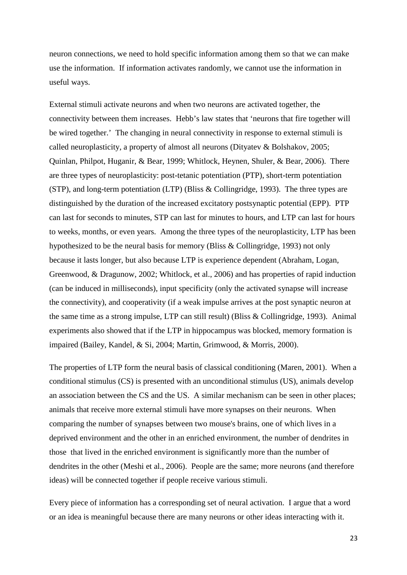neuron connections, we need to hold specific information among them so that we can make use the information. If information activates randomly, we cannot use the information in useful ways.

External stimuli activate neurons and when two neurons are activated together, the connectivity between them increases. Hebb's law states that 'neurons that fire together will be wired together.' The changing in neural connectivity in response to external stimuli is called neuroplasticity, a property of almost all neurons [\(Dityatev & Bolshakov, 2005;](#page-69-11) [Quinlan, Philpot, Huganir, & Bear, 1999;](#page-71-9) [Whitlock, Heynen, Shuler, & Bear, 2006\)](#page-72-7). There are three types of neuroplasticity: post-tetanic potentiation (PTP), short-term potentiation (STP), and long-term potentiation (LTP) [\(Bliss & Collingridge, 1993\)](#page-68-5). The three types are distinguished by the duration of the increased excitatory postsynaptic potential (EPP). PTP can last for seconds to minutes, STP can last for minutes to hours, and LTP can last for hours to weeks, months, or even years. Among the three types of the neuroplasticity, LTP has been hypothesized to be the neural basis for memory [\(Bliss & Collingridge, 1993\)](#page-68-5) not only because it lasts longer, but also because LTP is experience dependent [\(Abraham, Logan,](#page-68-6)  [Greenwood, & Dragunow, 2002;](#page-68-6) [Whitlock, et al., 2006\)](#page-72-7) and has properties of rapid induction (can be induced in milliseconds), input specificity (only the activated synapse will increase the connectivity), and cooperativity (if a weak impulse arrives at the post synaptic neuron at the same time as a strong impulse, LTP can still result) [\(Bliss & Collingridge, 1993\)](#page-68-5). Animal experiments also showed that if the LTP in hippocampus was blocked, memory formation is impaired [\(Bailey, Kandel, & Si, 2004;](#page-68-7) [Martin, Grimwood, & Morris, 2000\)](#page-71-10).

The properties of LTP form the neural basis of classical conditioning [\(Maren, 2001\)](#page-71-11). When a conditional stimulus (CS) is presented with an unconditional stimulus (US), animals develop an association between the CS and the US. A similar mechanism can be seen in other places; animals that receive more external stimuli have more synapses on their neurons. When comparing the number of synapses between two mouse's brains, one of which lives in a deprived environment and the other in an enriched environment, the number of dendrites in those that lived in the enriched environment is significantly more than the number of dendrites in the other [\(Meshi et al., 2006\)](#page-71-12). People are the same; more neurons (and therefore ideas) will be connected together if people receive various stimuli.

Every piece of information has a corresponding set of neural activation. I argue that a word or an idea is meaningful because there are many neurons or other ideas interacting with it.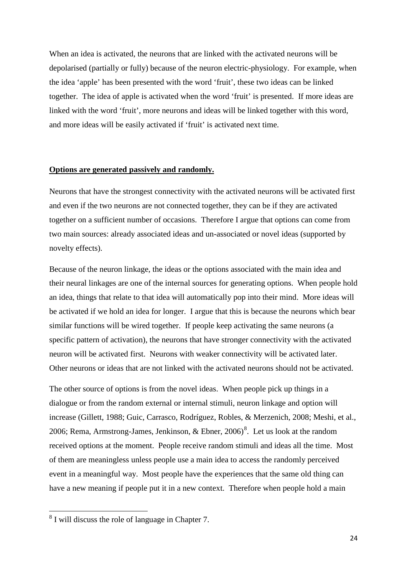When an idea is activated, the neurons that are linked with the activated neurons will be depolarised (partially or fully) because of the neuron electric-physiology. For example, when the idea 'apple' has been presented with the word 'fruit', these two ideas can be linked together. The idea of apple is activated when the word 'fruit' is presented. If more ideas are linked with the word 'fruit', more neurons and ideas will be linked together with this word, and more ideas will be easily activated if 'fruit' is activated next time.

## **Options are generated passively and randomly.**

Neurons that have the strongest connectivity with the activated neurons will be activated first and even if the two neurons are not connected together, they can be if they are activated together on a sufficient number of occasions. Therefore I argue that options can come from two main sources: already associated ideas and un-associated or novel ideas (supported by novelty effects).

Because of the neuron linkage, the ideas or the options associated with the main idea and their neural linkages are one of the internal sources for generating options. When people hold an idea, things that relate to that idea will automatically pop into their mind. More ideas will be activated if we hold an idea for longer. I argue that this is because the neurons which bear similar functions will be wired together. If people keep activating the same neurons (a specific pattern of activation), the neurons that have stronger connectivity with the activated neuron will be activated first. Neurons with weaker connectivity will be activated later. Other neurons or ideas that are not linked with the activated neurons should not be activated.

The other source of options is from the novel ideas. When people pick up things in a dialogue or from the random external or internal stimuli, neuron linkage and option will increase [\(Gillett, 1988;](#page-69-12) [Guic, Carrasco, Rodríguez, Robles, & Merzenich, 2008;](#page-69-13) [Meshi, et al.,](#page-71-12)  [2006;](#page-71-12) Rema, Armstrong-James, Jenkinson,  $\&$  Ebner, 2006)<sup>[8](#page-24-0)</sup>. Let us look at the random received options at the moment. People receive random stimuli and ideas all the time. Most of them are meaningless unless people use a main idea to access the randomly perceived event in a meaningful way. Most people have the experiences that the same old thing can have a new meaning if people put it in a new context. Therefore when people hold a main

<span id="page-24-0"></span><sup>8</sup> I will discuss the role of language in Chapter 7.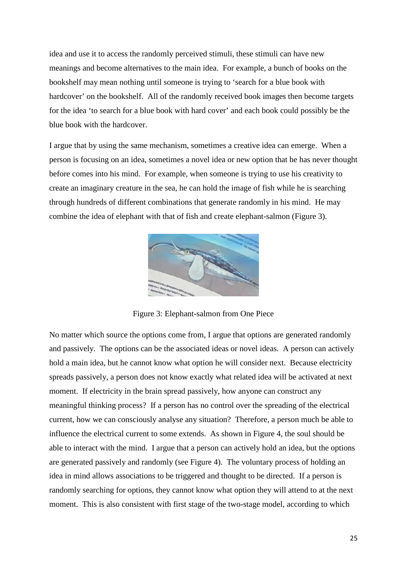idea and use it to access the randomly perceived stimuli, these stimuli can have new meanings and become alternatives to the main idea. For example, a bunch of books on the bookshelf may mean nothing until someone is trying to 'search for a blue book with hardcover' on the bookshelf. All of the randomly received book images then become targets for the idea 'to search for a blue book with hard cover' and each book could possibly be the blue book with the hardcover.

I argue that by using the same mechanism, sometimes a creative idea can emerge. When a person is focusing on an idea, sometimes a novel idea or new option that he has never thought before comes into his mind. For example, when someone is trying to use his creativity to create an imaginary creature in the sea, he can hold the image of fish while he is searching through hundreds of different combinations that generate randomly in his mind. He may combine the idea of elephant with that of fish and create elephant-salmon (Figure 3).



Figure 3: Elephant-salmon from One Piece

No matter which source the options come from, I argue that options are generated randomly and passively. The options can be the associated ideas or novel ideas. A person can actively hold a main idea, but he cannot know what option he will consider next. Because electricity spreads passively, a person does not know exactly what related idea will be activated at next moment. If electricity in the brain spread passively, how anyone can construct any meaningful thinking process? If a person has no control over the spreading of the electrical current, how we can consciously analyse any situation? Therefore, a person much be able to influence the electrical current to some extends. As shown in Figure 4, the soul should be able to interact with the mind. I argue that a person can actively hold an idea, but the options are generated passively and randomly (see Figure 4). The voluntary process of holding an idea in mind allows associations to be triggered and thought to be directed. If a person is randomly searching for options, they cannot know what option they will attend to at the next moment. This is also consistent with first stage of the two-stage model, according to which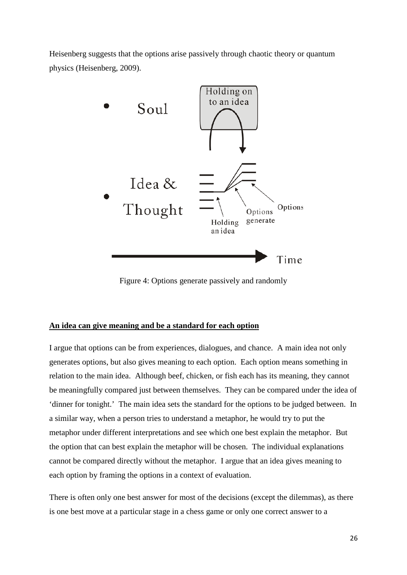Heisenberg suggests that the options arise passively through chaotic theory or quantum physics [\(Heisenberg, 2009\)](#page-70-4).



Figure 4: Options generate passively and randomly

## **An idea can give meaning and be a standard for each option**

I argue that options can be from experiences, dialogues, and chance. A main idea not only generates options, but also gives meaning to each option. Each option means something in relation to the main idea. Although beef, chicken, or fish each has its meaning, they cannot be meaningfully compared just between themselves. They can be compared under the idea of 'dinner for tonight.' The main idea sets the standard for the options to be judged between. In a similar way, when a person tries to understand a metaphor, he would try to put the metaphor under different interpretations and see which one best explain the metaphor. But the option that can best explain the metaphor will be chosen. The individual explanations cannot be compared directly without the metaphor. I argue that an idea gives meaning to each option by framing the options in a context of evaluation.

There is often only one best answer for most of the decisions (except the dilemmas), as there is one best move at a particular stage in a chess game or only one correct answer to a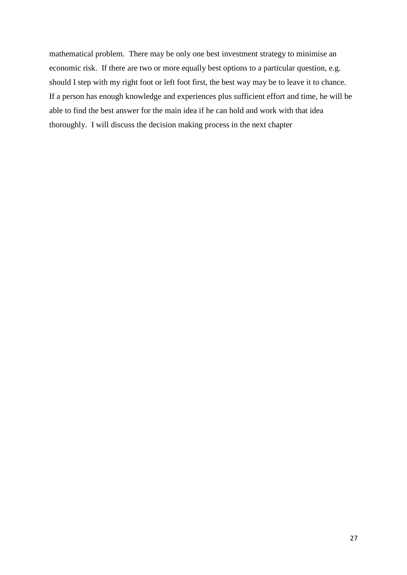mathematical problem. There may be only one best investment strategy to minimise an economic risk. If there are two or more equally best options to a particular question, e.g. should I step with my right foot or left foot first, the best way may be to leave it to chance. If a person has enough knowledge and experiences plus sufficient effort and time, he will be able to find the best answer for the main idea if he can hold and work with that idea thoroughly. I will discuss the decision making process in the next chapter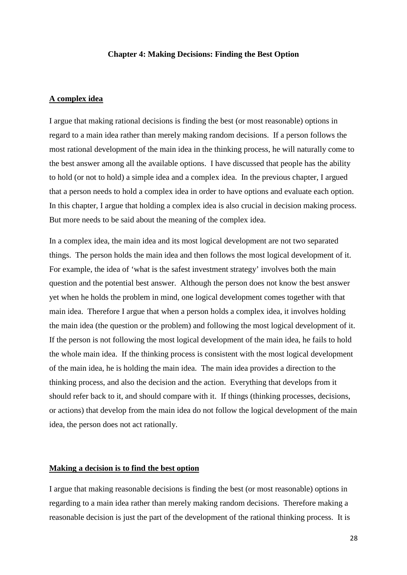#### **Chapter 4: Making Decisions: Finding the Best Option**

## **A complex idea**

I argue that making rational decisions is finding the best (or most reasonable) options in regard to a main idea rather than merely making random decisions. If a person follows the most rational development of the main idea in the thinking process, he will naturally come to the best answer among all the available options. I have discussed that people has the ability to hold (or not to hold) a simple idea and a complex idea. In the previous chapter, I argued that a person needs to hold a complex idea in order to have options and evaluate each option. In this chapter, I argue that holding a complex idea is also crucial in decision making process. But more needs to be said about the meaning of the complex idea.

In a complex idea, the main idea and its most logical development are not two separated things. The person holds the main idea and then follows the most logical development of it. For example, the idea of 'what is the safest investment strategy' involves both the main question and the potential best answer. Although the person does not know the best answer yet when he holds the problem in mind, one logical development comes together with that main idea. Therefore I argue that when a person holds a complex idea, it involves holding the main idea (the question or the problem) and following the most logical development of it. If the person is not following the most logical development of the main idea, he fails to hold the whole main idea. If the thinking process is consistent with the most logical development of the main idea, he is holding the main idea. The main idea provides a direction to the thinking process, and also the decision and the action. Everything that develops from it should refer back to it, and should compare with it. If things (thinking processes, decisions, or actions) that develop from the main idea do not follow the logical development of the main idea, the person does not act rationally.

#### **Making a decision is to find the best option**

I argue that making reasonable decisions is finding the best (or most reasonable) options in regarding to a main idea rather than merely making random decisions. Therefore making a reasonable decision is just the part of the development of the rational thinking process. It is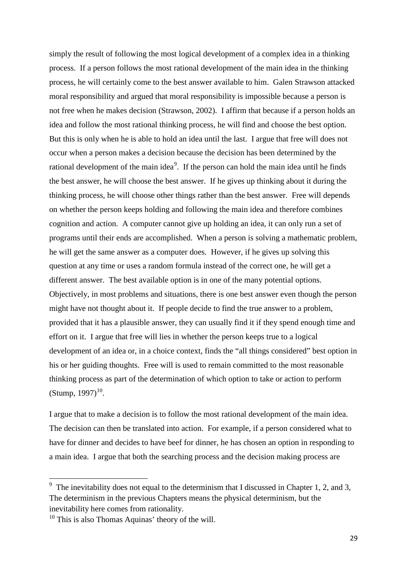simply the result of following the most logical development of a complex idea in a thinking process. If a person follows the most rational development of the main idea in the thinking process, he will certainly come to the best answer available to him. Galen Strawson attacked moral responsibility and argued that moral responsibility is impossible because a person is not free when he makes decision [\(Strawson, 2002\)](#page-72-2). I affirm that because if a person holds an idea and follow the most rational thinking process, he will find and choose the best option. But this is only when he is able to hold an idea until the last. I argue that free will does not occur when a person makes a decision because the decision has been determined by the rational development of the main idea<sup>[9](#page-29-0)</sup>. If the person can hold the main idea until he finds the best answer, he will choose the best answer. If he gives up thinking about it during the thinking process, he will choose other things rather than the best answer. Free will depends on whether the person keeps holding and following the main idea and therefore combines cognition and action. A computer cannot give up holding an idea, it can only run a set of programs until their ends are accomplished. When a person is solving a mathematic problem, he will get the same answer as a computer does. However, if he gives up solving this question at any time or uses a random formula instead of the correct one, he will get a different answer. The best available option is in one of the many potential options. Objectively, in most problems and situations, there is one best answer even though the person might have not thought about it. If people decide to find the true answer to a problem, provided that it has a plausible answer, they can usually find it if they spend enough time and effort on it. I argue that free will lies in whether the person keeps true to a logical development of an idea or, in a choice context, finds the "all things considered" best option in his or her guiding thoughts. Free will is used to remain committed to the most reasonable thinking process as part of the determination of which option to take or action to perform  $(Stump, 1997)^{10}$  $(Stump, 1997)^{10}$  $(Stump, 1997)^{10}$  $(Stump, 1997)^{10}$ .

I argue that to make a decision is to follow the most rational development of the main idea. The decision can then be translated into action. For example, if a person considered what to have for dinner and decides to have beef for dinner, he has chosen an option in responding to a main idea. I argue that both the searching process and the decision making process are

<span id="page-29-0"></span>The inevitability does not equal to the determinism that I discussed in Chapter 1, 2, and 3, The determinism in the previous Chapters means the physical determinism, but the inevitability here comes from rationality. 10 This is also Thomas Aquinas' theory of the will.

<span id="page-29-1"></span>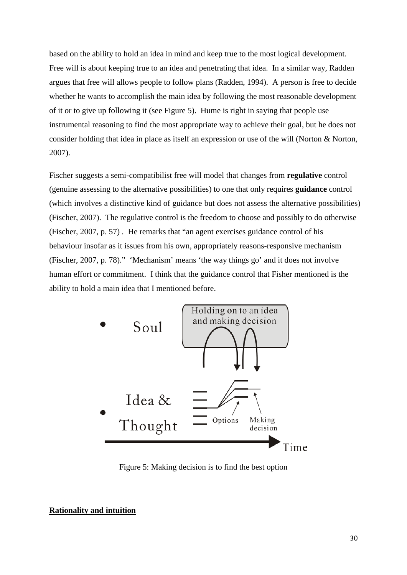based on the ability to hold an idea in mind and keep true to the most logical development. Free will is about keeping true to an idea and penetrating that idea. In a similar way, Radden argues that free will allows people to follow plans [\(Radden, 1994\)](#page-71-14). A person is free to decide whether he wants to accomplish the main idea by following the most reasonable development of it or to give up following it (see Figure 5). Hume is right in saying that people use instrumental reasoning to find the most appropriate way to achieve their goal, but he does not consider holding that idea in place as itself an expression or use of the will [\(Norton & Norton,](#page-71-15)  [2007\)](#page-71-15).

Fischer suggests a semi-compatibilist free will model that changes from **regulative** control (genuine assessing to the alternative possibilities) to one that only requires **guidance** control (which involves a distinctive kind of guidance but does not assess the alternative possibilities) [\(Fischer, 2007\)](#page-69-14). The regulative control is the freedom to choose and possibly to do otherwise [\(Fischer, 2007, p. 57\)](#page-69-14) . He remarks that "an agent exercises guidance control of his behaviour insofar as it issues from his own, appropriately reasons-responsive mechanism [\(Fischer, 2007, p. 78\)](#page-69-14)." 'Mechanism' means 'the way things go' and it does not involve human effort or commitment. I think that the guidance control that Fisher mentioned is the ability to hold a main idea that I mentioned before.



Figure 5: Making decision is to find the best option

#### **Rationality and intuition**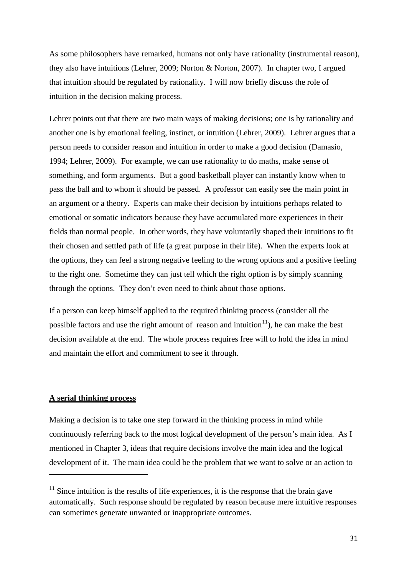As some philosophers have remarked, humans not only have rationality (instrumental reason), they also have intuitions [\(Lehrer, 2009;](#page-70-14) [Norton & Norton, 2007\)](#page-71-15). In chapter two, I argued that intuition should be regulated by rationality. I will now briefly discuss the role of intuition in the decision making process.

Lehrer points out that there are two main ways of making decisions; one is by rationality and another one is by emotional feeling, instinct, or intuition [\(Lehrer, 2009\)](#page-70-14). Lehrer argues that a person needs to consider reason and intuition in order to make a good decision [\(Damasio,](#page-69-15)  [1994;](#page-69-15) [Lehrer, 2009\)](#page-70-14). For example, we can use rationality to do maths, make sense of something, and form arguments. But a good basketball player can instantly know when to pass the ball and to whom it should be passed. A professor can easily see the main point in an argument or a theory. Experts can make their decision by intuitions perhaps related to emotional or somatic indicators because they have accumulated more experiences in their fields than normal people. In other words, they have voluntarily shaped their intuitions to fit their chosen and settled path of life (a great purpose in their life). When the experts look at the options, they can feel a strong negative feeling to the wrong options and a positive feeling to the right one. Sometime they can just tell which the right option is by simply scanning through the options. They don't even need to think about those options.

If a person can keep himself applied to the required thinking process (consider all the possible factors and use the right amount of reason and intuition<sup>11</sup>), he can make the best decision available at the end. The whole process requires free will to hold the idea in mind and maintain the effort and commitment to see it through.

## **A serial thinking process**

 $\overline{a}$ 

Making a decision is to take one step forward in the thinking process in mind while continuously referring back to the most logical development of the person's main idea. As I mentioned in Chapter 3, ideas that require decisions involve the main idea and the logical development of it. The main idea could be the problem that we want to solve or an action to

<span id="page-31-0"></span> $11$  Since intuition is the results of life experiences, it is the response that the brain gave automatically. Such response should be regulated by reason because mere intuitive responses can sometimes generate unwanted or inappropriate outcomes.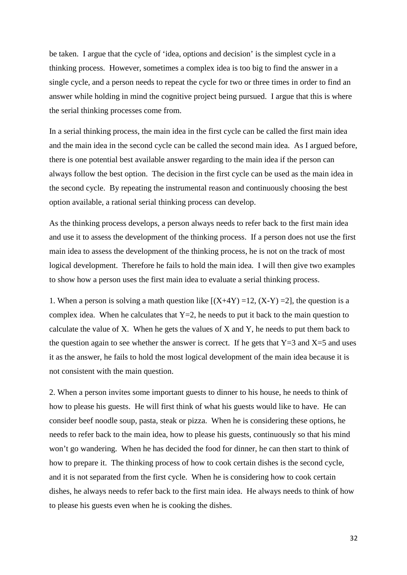be taken. I argue that the cycle of 'idea, options and decision' is the simplest cycle in a thinking process. However, sometimes a complex idea is too big to find the answer in a single cycle, and a person needs to repeat the cycle for two or three times in order to find an answer while holding in mind the cognitive project being pursued. I argue that this is where the serial thinking processes come from.

In a serial thinking process, the main idea in the first cycle can be called the first main idea and the main idea in the second cycle can be called the second main idea. As I argued before, there is one potential best available answer regarding to the main idea if the person can always follow the best option. The decision in the first cycle can be used as the main idea in the second cycle. By repeating the instrumental reason and continuously choosing the best option available, a rational serial thinking process can develop.

As the thinking process develops, a person always needs to refer back to the first main idea and use it to assess the development of the thinking process. If a person does not use the first main idea to assess the development of the thinking process, he is not on the track of most logical development. Therefore he fails to hold the main idea. I will then give two examples to show how a person uses the first main idea to evaluate a serial thinking process.

1. When a person is solving a math question like  $[(X+4Y) = 12, (X-Y) = 2]$ , the question is a complex idea. When he calculates that  $Y=2$ , he needs to put it back to the main question to calculate the value of X. When he gets the values of X and Y, he needs to put them back to the question again to see whether the answer is correct. If he gets that  $Y=3$  and  $X=5$  and uses it as the answer, he fails to hold the most logical development of the main idea because it is not consistent with the main question.

2. When a person invites some important guests to dinner to his house, he needs to think of how to please his guests. He will first think of what his guests would like to have. He can consider beef noodle soup, pasta, steak or pizza. When he is considering these options, he needs to refer back to the main idea, how to please his guests, continuously so that his mind won't go wandering. When he has decided the food for dinner, he can then start to think of how to prepare it. The thinking process of how to cook certain dishes is the second cycle, and it is not separated from the first cycle. When he is considering how to cook certain dishes, he always needs to refer back to the first main idea. He always needs to think of how to please his guests even when he is cooking the dishes.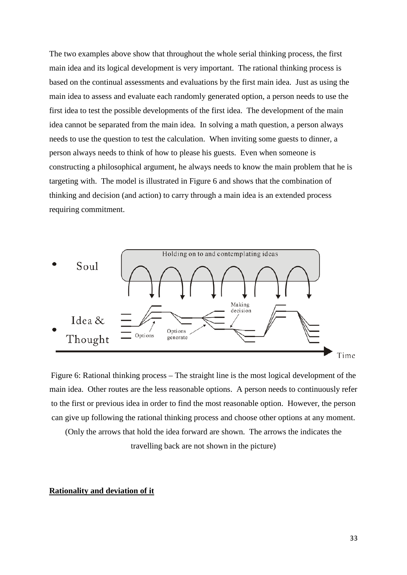The two examples above show that throughout the whole serial thinking process, the first main idea and its logical development is very important. The rational thinking process is based on the continual assessments and evaluations by the first main idea. Just as using the main idea to assess and evaluate each randomly generated option, a person needs to use the first idea to test the possible developments of the first idea. The development of the main idea cannot be separated from the main idea. In solving a math question, a person always needs to use the question to test the calculation. When inviting some guests to dinner, a person always needs to think of how to please his guests. Even when someone is constructing a philosophical argument, he always needs to know the main problem that he is targeting with. The model is illustrated in Figure 6 and shows that the combination of thinking and decision (and action) to carry through a main idea is an extended process requiring commitment.



Figure 6: Rational thinking process – The straight line is the most logical development of the main idea. Other routes are the less reasonable options. A person needs to continuously refer to the first or previous idea in order to find the most reasonable option. However, the person can give up following the rational thinking process and choose other options at any moment.

(Only the arrows that hold the idea forward are shown. The arrows the indicates the travelling back are not shown in the picture)

#### **Rationality and deviation of it**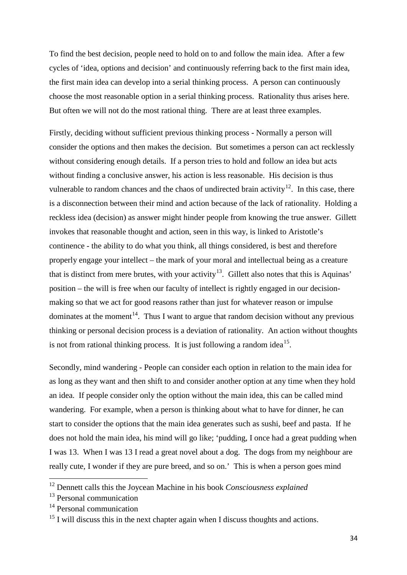To find the best decision, people need to hold on to and follow the main idea. After a few cycles of 'idea, options and decision' and continuously referring back to the first main idea, the first main idea can develop into a serial thinking process. A person can continuously choose the most reasonable option in a serial thinking process. Rationality thus arises here. But often we will not do the most rational thing. There are at least three examples.

Firstly, deciding without sufficient previous thinking process - Normally a person will consider the options and then makes the decision. But sometimes a person can act recklessly without considering enough details. If a person tries to hold and follow an idea but acts without finding a conclusive answer, his action is less reasonable. His decision is thus vulnerable to random chances and the chaos of undirected brain activity<sup>12</sup>. In this case, there is a disconnection between their mind and action because of the lack of rationality. Holding a reckless idea (decision) as answer might hinder people from knowing the true answer. Gillett invokes that reasonable thought and action, seen in this way, is linked to Aristotle's continence - the ability to do what you think, all things considered, is best and therefore properly engage your intellect – the mark of your moral and intellectual being as a creature that is distinct from mere brutes, with your activity<sup>13</sup>. Gillett also notes that this is Aquinas' position – the will is free when our faculty of intellect is rightly engaged in our decisionmaking so that we act for good reasons rather than just for whatever reason or impulse dominates at the moment<sup>14</sup>. Thus I want to argue that random decision without any previous thinking or personal decision process is a deviation of rationality. An action without thoughts is not from rational thinking process. It is just following a random idea<sup>[15](#page-34-3)</sup>.

Secondly, mind wandering - People can consider each option in relation to the main idea for as long as they want and then shift to and consider another option at any time when they hold an idea. If people consider only the option without the main idea, this can be called mind wandering. For example, when a person is thinking about what to have for dinner, he can start to consider the options that the main idea generates such as sushi, beef and pasta. If he does not hold the main idea, his mind will go like; 'pudding, I once had a great pudding when I was 13. When I was 13 I read a great novel about a dog. The dogs from my neighbour are really cute, I wonder if they are pure breed, and so on.' This is when a person goes mind

<span id="page-34-0"></span><sup>12</sup> Dennett calls this the Joycean Machine in his book *Consciousness explained*

<span id="page-34-1"></span> $13$  Personal communication

<span id="page-34-2"></span><sup>&</sup>lt;sup>14</sup> Personal communication

<span id="page-34-3"></span><sup>&</sup>lt;sup>15</sup> I will discuss this in the next chapter again when I discuss thoughts and actions.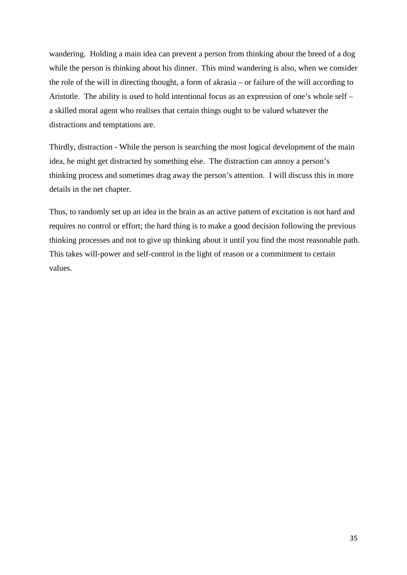wandering. Holding a main idea can prevent a person from thinking about the breed of a dog while the person is thinking about his dinner. This mind wandering is also, when we consider the role of the will in directing thought, a form of akrasia – or failure of the will according to Aristotle. The ability is used to hold intentional focus as an expression of one's whole self – a skilled moral agent who realises that certain things ought to be valued whatever the distractions and temptations are.

Thirdly, distraction - While the person is searching the most logical development of the main idea, he might get distracted by something else. The distraction can annoy a person's thinking process and sometimes drag away the person's attention. I will discuss this in more details in the net chapter.

Thus, to randomly set up an idea in the brain as an active pattern of excitation is not hard and requires no control or effort; the hard thing is to make a good decision following the previous thinking processes and not to give up thinking about it until you find the most reasonable path. This takes will-power and self-control in the light of reason or a commitment to certain values.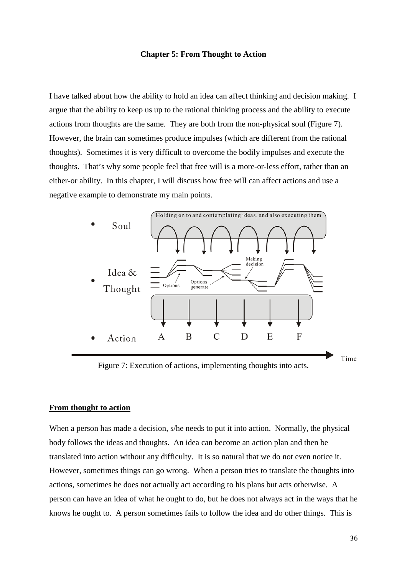### **Chapter 5: From Thought to Action**

I have talked about how the ability to hold an idea can affect thinking and decision making. I argue that the ability to keep us up to the rational thinking process and the ability to execute actions from thoughts are the same. They are both from the non-physical soul (Figure 7). However, the brain can sometimes produce impulses (which are different from the rational thoughts). Sometimes it is very difficult to overcome the bodily impulses and execute the thoughts. That's why some people feel that free will is a more-or-less effort, rather than an either-or ability. In this chapter, I will discuss how free will can affect actions and use a negative example to demonstrate my main points.



Figure 7: Execution of actions, implementing thoughts into acts.

# **From thought to action**

When a person has made a decision, s/he needs to put it into action. Normally, the physical body follows the ideas and thoughts. An idea can become an action plan and then be translated into action without any difficulty. It is so natural that we do not even notice it. However, sometimes things can go wrong. When a person tries to translate the thoughts into actions, sometimes he does not actually act according to his plans but acts otherwise. A person can have an idea of what he ought to do, but he does not always act in the ways that he knows he ought to. A person sometimes fails to follow the idea and do other things. This is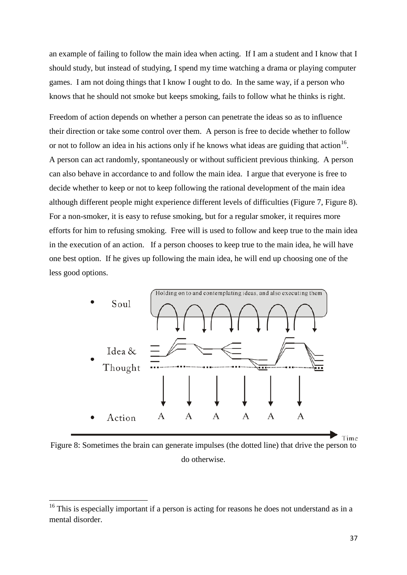an example of failing to follow the main idea when acting. If I am a student and I know that I should study, but instead of studying, I spend my time watching a drama or playing computer games. I am not doing things that I know I ought to do. In the same way, if a person who knows that he should not smoke but keeps smoking, fails to follow what he thinks is right.

Freedom of action depends on whether a person can penetrate the ideas so as to influence their direction or take some control over them. A person is free to decide whether to follow or not to follow an idea in his actions only if he knows what ideas are guiding that action<sup>[16](#page-37-0)</sup>. A person can act randomly, spontaneously or without sufficient previous thinking. A person can also behave in accordance to and follow the main idea. I argue that everyone is free to decide whether to keep or not to keep following the rational development of the main idea although different people might experience different levels of difficulties (Figure 7, Figure 8). For a non-smoker, it is easy to refuse smoking, but for a regular smoker, it requires more efforts for him to refusing smoking. Free will is used to follow and keep true to the main idea in the execution of an action. If a person chooses to keep true to the main idea, he will have one best option. If he gives up following the main idea, he will end up choosing one of the less good options.



Figure 8: Sometimes the brain can generate impulses (the dotted line) that drive the person to do otherwise.

<span id="page-37-0"></span><sup>&</sup>lt;sup>16</sup> This is especially important if a person is acting for reasons he does not understand as in a mental disorder.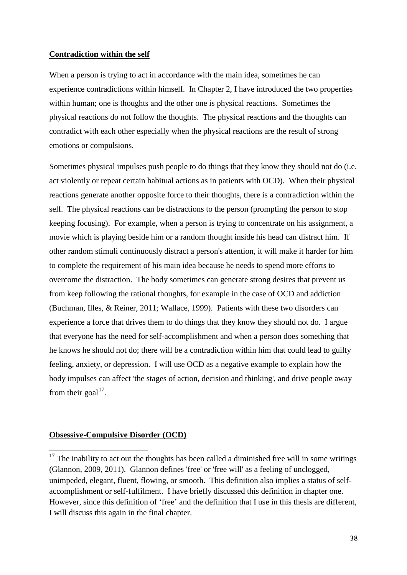### **Contradiction within the self**

When a person is trying to act in accordance with the main idea, sometimes he can experience contradictions within himself. In Chapter 2, I have introduced the two properties within human; one is thoughts and the other one is physical reactions. Sometimes the physical reactions do not follow the thoughts. The physical reactions and the thoughts can contradict with each other especially when the physical reactions are the result of strong emotions or compulsions.

Sometimes physical impulses push people to do things that they know they should not do (i.e. act violently or repeat certain habitual actions as in patients with OCD). When their physical reactions generate another opposite force to their thoughts, there is a contradiction within the self. The physical reactions can be distractions to the person (prompting the person to stop keeping focusing). For example, when a person is trying to concentrate on his assignment, a movie which is playing beside him or a random thought inside his head can distract him. If other random stimuli continuously distract a person's attention, it will make it harder for him to complete the requirement of his main idea because he needs to spend more efforts to overcome the distraction. The body sometimes can generate strong desires that prevent us from keep following the rational thoughts, for example in the case of OCD and addiction [\(Buchman, Illes, & Reiner, 2011;](#page-68-0) [Wallace, 1999\)](#page-72-0). Patients with these two disorders can experience a force that drives them to do things that they know they should not do. I argue that everyone has the need for self-accomplishment and when a person does something that he knows he should not do; there will be a contradiction within him that could lead to guilty feeling, anxiety, or depression. I will use OCD as a negative example to explain how the body impulses can affect 'the stages of action, decision and thinking', and drive people away from their goal $^{17}$ .

# **Obsessive-Compulsive Disorder (OCD)**

<span id="page-38-0"></span> $17$  The inability to act out the thoughts has been called a diminished free will in some writings (Glannon, 2009, 2011). Glannon defines 'free' or 'free will' as a feeling of unclogged, unimpeded, elegant, fluent, flowing, or smooth. This definition also implies a status of selfaccomplishment or self-fulfilment. I have briefly discussed this definition in chapter one. However, since this definition of 'free' and the definition that I use in this thesis are different, I will discuss this again in the final chapter.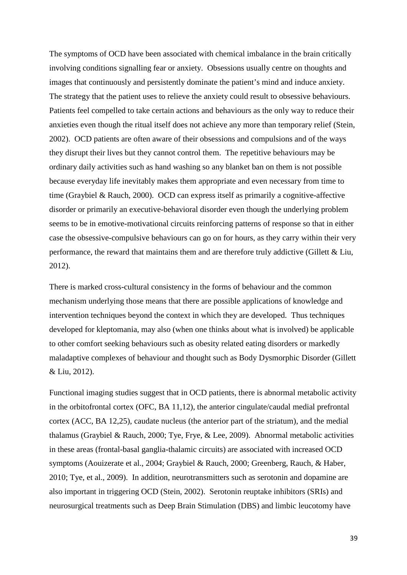The symptoms of OCD have been associated with chemical imbalance in the brain critically involving conditions signalling fear or anxiety. Obsessions usually centre on thoughts and images that continuously and persistently dominate the patient's mind and induce anxiety. The strategy that the patient uses to relieve the anxiety could result to obsessive behaviours. Patients feel compelled to take certain actions and behaviours as the only way to reduce their anxieties even though the ritual itself does not achieve any more than temporary relief [\(Stein,](#page-72-1)  [2002\)](#page-72-1). OCD patients are often aware of their obsessions and compulsions and of the ways they disrupt their lives but they cannot control them. The repetitive behaviours may be ordinary daily activities such as hand washing so any blanket ban on them is not possible because everyday life inevitably makes them appropriate and even necessary from time to time [\(Graybiel & Rauch, 2000\)](#page-69-0). OCD can express itself as primarily a cognitive-affective disorder or primarily an executive-behavioral disorder even though the underlying problem seems to be in emotive-motivational circuits reinforcing patterns of response so that in either case the obsessive-compulsive behaviours can go on for hours, as they carry within their very performance, the reward that maintains them and are therefore truly addictive [\(Gillett & Liu,](#page-69-1)  [2012\)](#page-69-1).

There is marked cross-cultural consistency in the forms of behaviour and the common mechanism underlying those means that there are possible applications of knowledge and intervention techniques beyond the context in which they are developed. Thus techniques developed for kleptomania, may also (when one thinks about what is involved) be applicable to other comfort seeking behaviours such as obesity related eating disorders or markedly maladaptive complexes of behaviour and thought such as Body Dysmorphic Disorder [\(Gillett](#page-69-1)  [& Liu, 2012\)](#page-69-1).

Functional imaging studies suggest that in OCD patients, there is abnormal metabolic activity in the orbitofrontal cortex (OFC, BA 11,12), the anterior cingulate/caudal medial prefrontal cortex (ACC, BA 12,25), caudate nucleus (the anterior part of the striatum), and the medial thalamus [\(Graybiel & Rauch, 2000;](#page-69-0) [Tye, Frye, & Lee, 2009\)](#page-72-2). Abnormal metabolic activities in these areas (frontal-basal ganglia-thalamic circuits) are associated with increased OCD symptoms [\(Aouizerate et al., 2004;](#page-68-1) [Graybiel & Rauch, 2000;](#page-69-0) [Greenberg, Rauch, & Haber,](#page-69-2)  [2010;](#page-69-2) [Tye, et al., 2009\)](#page-72-2). In addition, neurotransmitters such as serotonin and dopamine are also important in triggering OCD [\(Stein, 2002\)](#page-72-1). Serotonin reuptake inhibitors (SRIs) and neurosurgical treatments such as Deep Brain Stimulation (DBS) and limbic leucotomy have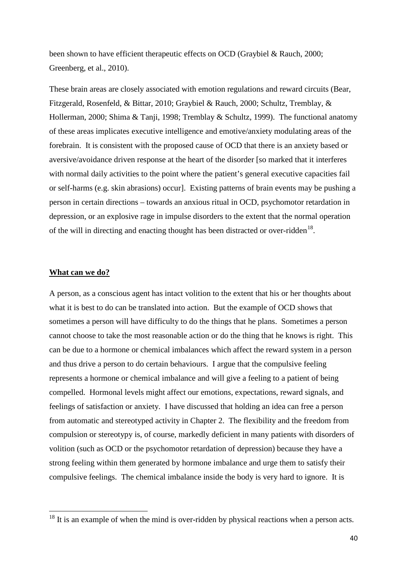been shown to have efficient therapeutic effects on OCD [\(Graybiel & Rauch, 2000;](#page-69-0) [Greenberg, et al., 2010\)](#page-69-2).

These brain areas are closely associated with emotion regulations and reward circuits [\(Bear,](#page-68-2)  [Fitzgerald, Rosenfeld, & Bittar, 2010;](#page-68-2) [Graybiel & Rauch, 2000;](#page-69-0) [Schultz, Tremblay, &](#page-71-0)  [Hollerman, 2000;](#page-71-0) [Shima & Tanji, 1998;](#page-71-1) [Tremblay & Schultz, 1999\)](#page-72-3). The functional anatomy of these areas implicates executive intelligence and emotive/anxiety modulating areas of the forebrain. It is consistent with the proposed cause of OCD that there is an anxiety based or aversive/avoidance driven response at the heart of the disorder [so marked that it interferes with normal daily activities to the point where the patient's general executive capacities fail or self-harms (e.g. skin abrasions) occur]. Existing patterns of brain events may be pushing a person in certain directions – towards an anxious ritual in OCD, psychomotor retardation in depression, or an explosive rage in impulse disorders to the extent that the normal operation of the will in directing and enacting thought has been distracted or over-ridden<sup>[18](#page-40-0)</sup>.

### **What can we do?**

A person, as a conscious agent has intact volition to the extent that his or her thoughts about what it is best to do can be translated into action. But the example of OCD shows that sometimes a person will have difficulty to do the things that he plans. Sometimes a person cannot choose to take the most reasonable action or do the thing that he knows is right. This can be due to a hormone or chemical imbalances which affect the reward system in a person and thus drive a person to do certain behaviours. I argue that the compulsive feeling represents a hormone or chemical imbalance and will give a feeling to a patient of being compelled. Hormonal levels might affect our emotions, expectations, reward signals, and feelings of satisfaction or anxiety. I have discussed that holding an idea can free a person from automatic and stereotyped activity in Chapter 2. The flexibility and the freedom from compulsion or stereotypy is, of course, markedly deficient in many patients with disorders of volition (such as OCD or the psychomotor retardation of depression) because they have a strong feeling within them generated by hormone imbalance and urge them to satisfy their compulsive feelings. The chemical imbalance inside the body is very hard to ignore. It is

<span id="page-40-0"></span><sup>&</sup>lt;sup>18</sup> It is an example of when the mind is over-ridden by physical reactions when a person acts.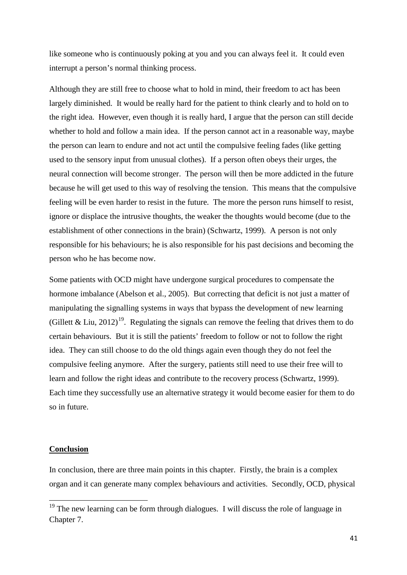like someone who is continuously poking at you and you can always feel it. It could even interrupt a person's normal thinking process.

Although they are still free to choose what to hold in mind, their freedom to act has been largely diminished. It would be really hard for the patient to think clearly and to hold on to the right idea. However, even though it is really hard, I argue that the person can still decide whether to hold and follow a main idea. If the person cannot act in a reasonable way, maybe the person can learn to endure and not act until the compulsive feeling fades (like getting used to the sensory input from unusual clothes). If a person often obeys their urges, the neural connection will become stronger. The person will then be more addicted in the future because he will get used to this way of resolving the tension. This means that the compulsive feeling will be even harder to resist in the future. The more the person runs himself to resist, ignore or displace the intrusive thoughts, the weaker the thoughts would become (due to the establishment of other connections in the brain) [\(Schwartz, 1999\)](#page-71-2). A person is not only responsible for his behaviours; he is also responsible for his past decisions and becoming the person who he has become now.

Some patients with OCD might have undergone surgical procedures to compensate the hormone imbalance [\(Abelson et](#page-68-3) al., 2005). But correcting that deficit is not just a matter of manipulating the signalling systems in ways that bypass the development of new learning [\(Gillett & Liu, 2012\)](#page-69-1)<sup>[19](#page-41-0)</sup>. Regulating the signals can remove the feeling that drives them to do certain behaviours. But it is still the patients' freedom to follow or not to follow the right idea. They can still choose to do the old things again even though they do not feel the compulsive feeling anymore. After the surgery, patients still need to use their free will to learn and follow the right ideas and contribute to the recovery process [\(Schwartz, 1999\)](#page-71-2). Each time they successfully use an alternative strategy it would become easier for them to do so in future.

# **Conclusion**

In conclusion, there are three main points in this chapter. Firstly, the brain is a complex organ and it can generate many complex behaviours and activities. Secondly, OCD, physical

<span id="page-41-0"></span><sup>&</sup>lt;sup>19</sup> The new learning can be form through dialogues. I will discuss the role of language in Chapter 7.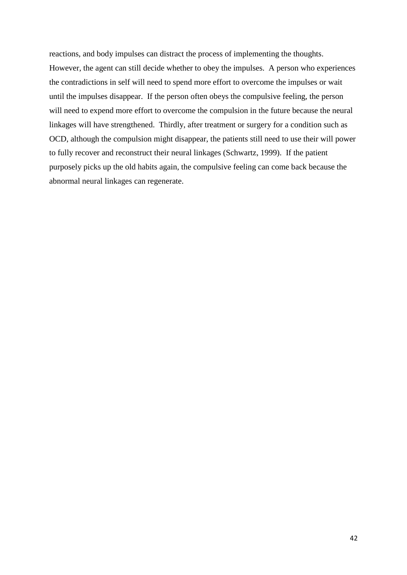reactions, and body impulses can distract the process of implementing the thoughts. However, the agent can still decide whether to obey the impulses. A person who experiences the contradictions in self will need to spend more effort to overcome the impulses or wait until the impulses disappear. If the person often obeys the compulsive feeling, the person will need to expend more effort to overcome the compulsion in the future because the neural linkages will have strengthened. Thirdly, after treatment or surgery for a condition such as OCD, although the compulsion might disappear, the patients still need to use their will power to fully recover and reconstruct their neural linkages [\(Schwartz, 1999\)](#page-71-2). If the patient purposely picks up the old habits again, the compulsive feeling can come back because the abnormal neural linkages can regenerate.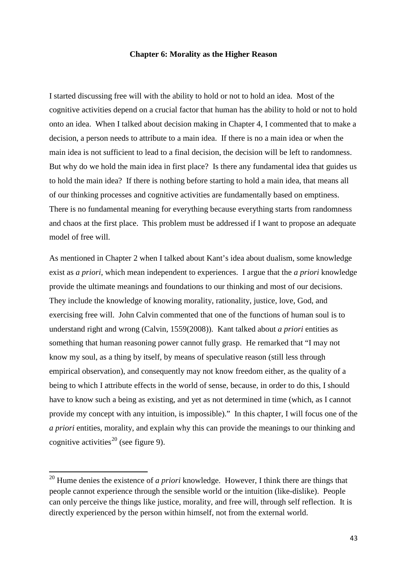## **Chapter 6: Morality as the Higher Reason**

I started discussing free will with the ability to hold or not to hold an idea. Most of the cognitive activities depend on a crucial factor that human has the ability to hold or not to hold onto an idea. When I talked about decision making in Chapter 4, I commented that to make a decision, a person needs to attribute to a main idea. If there is no a main idea or when the main idea is not sufficient to lead to a final decision, the decision will be left to randomness. But why do we hold the main idea in first place? Is there any fundamental idea that guides us to hold the main idea? If there is nothing before starting to hold a main idea, that means all of our thinking processes and cognitive activities are fundamentally based on emptiness. There is no fundamental meaning for everything because everything starts from randomness and chaos at the first place. This problem must be addressed if I want to propose an adequate model of free will.

As mentioned in Chapter 2 when I talked about Kant's idea about dualism, some knowledge exist as *a priori*, which mean independent to experiences. I argue that the *a priori* knowledge provide the ultimate meanings and foundations to our thinking and most of our decisions. They include the knowledge of knowing morality, rationality, justice, love, God, and exercising free will. John Calvin commented that one of the functions of human soul is to understand right and wrong [\(Calvin, 1559\(2008\)\)](#page-68-4). Kant talked about *a priori* entities as something that human reasoning power cannot fully grasp. He remarked that "I may not know my soul, as a thing by itself, by means of speculative reason (still less through empirical observation), and consequently may not know freedom either, as the quality of a being to which I attribute effects in the world of sense, because, in order to do this, I should have to know such a being as existing, and yet as not determined in time (which, as I cannot provide my concept with any intuition, is impossible)." In this chapter, I will focus one of the *a priori* entities, morality, and explain why this can provide the meanings to our thinking and cognitive activities<sup>[20](#page-43-0)</sup> (see figure 9).

<span id="page-43-0"></span><sup>20</sup> Hume denies the existence of *a priori* knowledge. However, I think there are things that people cannot experience through the sensible world or the intuition (like-dislike). People can only perceive the things like justice, morality, and free will, through self reflection. It is directly experienced by the person within himself, not from the external world.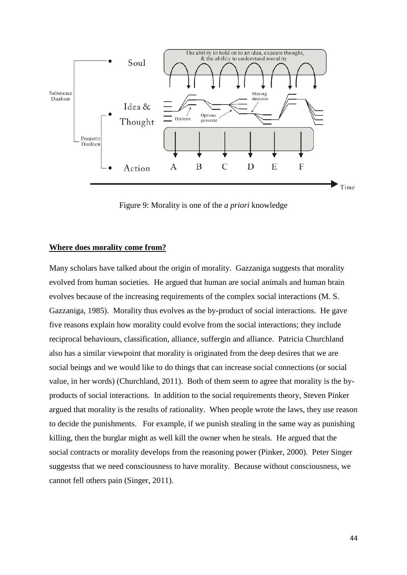

Figure 9: Morality is one of the *a priori* knowledge

## **Where does morality come from?**

Many scholars have talked about the origin of morality. Gazzaniga suggests that morality evolved from human societies. He argued that human are social animals and human brain evolves because of the increasing requirements of the complex social interactions [\(M. S.](#page-69-3)  [Gazzaniga, 1985\)](#page-69-3). Morality thus evolves as the by-product of social interactions. He gave five reasons explain how morality could evolve from the social interactions; they include reciprocal behaviours, classification, alliance, suffergin and alliance. Patricia Churchland also has a similar viewpoint that morality is originated from the deep desires that we are social beings and we would like to do things that can increase social connections (or social value, in her words) [\(Churchland, 2011\)](#page-68-5). Both of them seem to agree that morality is the byproducts of social interactions. In addition to the social requirements theory, Steven Pinker argued that morality is the results of rationality. When people wrote the laws, they use reason to decide the punishments. For example, if we punish stealing in the same way as punishing killing, then the burglar might as well kill the owner when he steals. He argued that the social contracts or morality develops from the reasoning power [\(Pinker, 2000\)](#page-71-3). Peter Singer suggestss that we need consciousness to have morality. Because without consciousness, we cannot fell others pain [\(Singer, 2011\)](#page-72-4).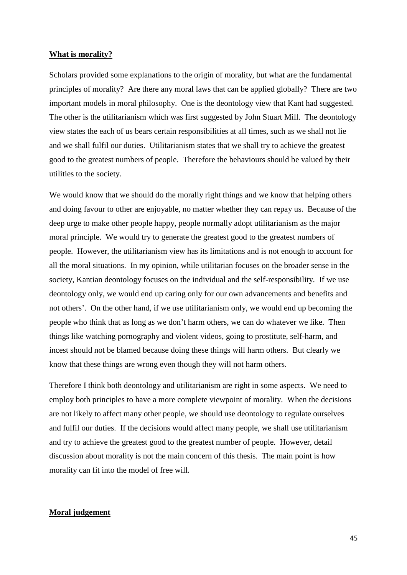### **What is morality?**

Scholars provided some explanations to the origin of morality, but what are the fundamental principles of morality? Are there any moral laws that can be applied globally? There are two important models in moral philosophy. One is the deontology view that Kant had suggested. The other is the utilitarianism which was first suggested by John Stuart Mill. The deontology view states the each of us bears certain responsibilities at all times, such as we shall not lie and we shall fulfil our duties. Utilitarianism states that we shall try to achieve the greatest good to the greatest numbers of people. Therefore the behaviours should be valued by their utilities to the society.

We would know that we should do the morally right things and we know that helping others and doing favour to other are enjoyable, no matter whether they can repay us. Because of the deep urge to make other people happy, people normally adopt utilitarianism as the major moral principle. We would try to generate the greatest good to the greatest numbers of people. However, the utilitarianism view has its limitations and is not enough to account for all the moral situations. In my opinion, while utilitarian focuses on the broader sense in the society, Kantian deontology focuses on the individual and the self-responsibility. If we use deontology only, we would end up caring only for our own advancements and benefits and not others'. On the other hand, if we use utilitarianism only, we would end up becoming the people who think that as long as we don't harm others, we can do whatever we like. Then things like watching pornography and violent videos, going to prostitute, self-harm, and incest should not be blamed because doing these things will harm others. But clearly we know that these things are wrong even though they will not harm others.

Therefore I think both deontology and utilitarianism are right in some aspects. We need to employ both principles to have a more complete viewpoint of morality. When the decisions are not likely to affect many other people, we should use deontology to regulate ourselves and fulfil our duties. If the decisions would affect many people, we shall use utilitarianism and try to achieve the greatest good to the greatest number of people. However, detail discussion about morality is not the main concern of this thesis. The main point is how morality can fit into the model of free will.

# **Moral judgement**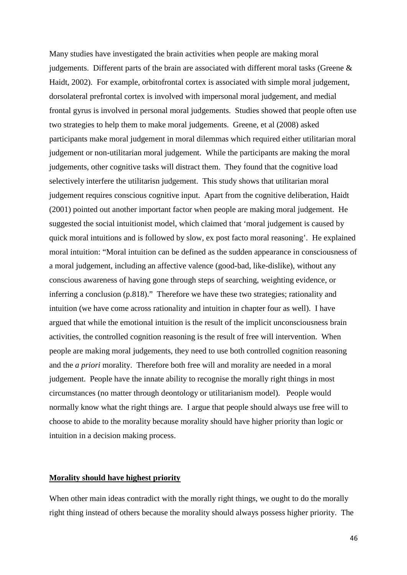Many studies have investigated the brain activities when people are making moral judgements. Different parts of the brain are associated with different moral tasks (Greene & Haidt, 2002). For example, orbitofrontal cortex is associated with simple moral judgement, dorsolateral prefrontal cortex is involved with impersonal moral judgement, and medial frontal gyrus is involved in personal moral judgements. Studies showed that people often use two strategies to help them to make moral judgements. Greene, et al (2008) asked participants make moral judgement in moral dilemmas which required either utilitarian moral judgement or non-utilitarian moral judgement. While the participants are making the moral judgements, other cognitive tasks will distract them. They found that the cognitive load selectively interfere the utilitarisn judgement. This study shows that utilitarian moral judgement requires conscious cognitive input. Apart from the cognitive deliberation, Haidt (2001) pointed out another important factor when people are making moral judgement. He suggested the social intuitionist model, which claimed that 'moral judgement is caused by quick moral intuitions and is followed by slow, ex post facto moral reasoning'. He explained moral intuition: "Moral intuition can be defined as the sudden appearance in consciousness of a moral judgement, including an affective valence (good-bad, like-dislike), without any conscious awareness of having gone through steps of searching, weighting evidence, or inferring a conclusion (p.818)." Therefore we have these two strategies; rationality and intuition (we have come across rationality and intuition in chapter four as well). I have argued that while the emotional intuition is the result of the implicit unconsciousness brain activities, the controlled cognition reasoning is the result of free will intervention. When people are making moral judgements, they need to use both controlled cognition reasoning and the *a priori* morality. Therefore both free will and morality are needed in a moral judgement. People have the innate ability to recognise the morally right things in most circumstances (no matter through deontology or utilitarianism model). People would normally know what the right things are. I argue that people should always use free will to choose to abide to the morality because morality should have higher priority than logic or intuition in a decision making process.

# **Morality should have highest priority**

When other main ideas contradict with the morally right things, we ought to do the morally right thing instead of others because the morality should always possess higher priority. The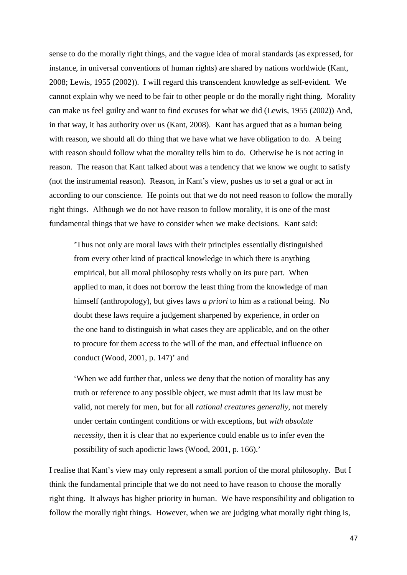sense to do the morally right things, and the vague idea of moral standards (as expressed, for instance, in universal conventions of human rights) are shared by nations worldwide [\(Kant,](#page-70-0)  [2008;](#page-70-0) [Lewis, 1955 \(2002\)\)](#page-70-1). I will regard this transcendent knowledge as self-evident. We cannot explain why we need to be fair to other people or do the morally right thing. Morality can make us feel guilty and want to find excuses for what we did [\(Lewis, 1955 \(2002\)\)](#page-70-1) And, in that way, it has authority over us [\(Kant, 2008\)](#page-70-0). Kant has argued that as a human being with reason, we should all do thing that we have what we have obligation to do. A being with reason should follow what the morality tells him to do. Otherwise he is not acting in reason. The reason that Kant talked about was a tendency that we know we ought to satisfy (not the instrumental reason). Reason, in Kant's view, pushes us to set a goal or act in according to our conscience. He points out that we do not need reason to follow the morally right things. Although we do not have reason to follow morality, it is one of the most fundamental things that we have to consider when we make decisions. Kant said:

'Thus not only are moral laws with their principles essentially distinguished from every other kind of practical knowledge in which there is anything empirical, but all moral philosophy rests wholly on its pure part. When applied to man, it does not borrow the least thing from the knowledge of man himself (anthropology), but gives laws *a priori* to him as a rational being. No doubt these laws require a judgement sharpened by experience, in order on the one hand to distinguish in what cases they are applicable, and on the other to procure for them access to the will of the man, and effectual influence on conduct [\(Wood, 2001, p. 147\)](#page-72-5)' and

'When we add further that, unless we deny that the notion of morality has any truth or reference to any possible object, we must admit that its law must be valid, not merely for men, but for all *rational creatures generally*, not merely under certain contingent conditions or with exceptions, but *with absolute necessity*, then it is clear that no experience could enable us to infer even the possibility of such apodictic laws [\(Wood, 2001, p. 166\)](#page-72-5).'

I realise that Kant's view may only represent a small portion of the moral philosophy. But I think the fundamental principle that we do not need to have reason to choose the morally right thing. It always has higher priority in human. We have responsibility and obligation to follow the morally right things. However, when we are judging what morally right thing is,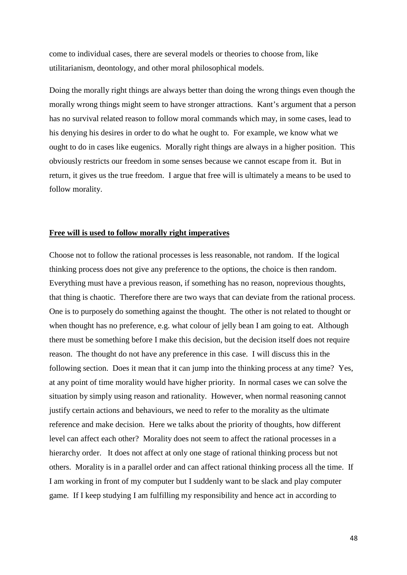come to individual cases, there are several models or theories to choose from, like utilitarianism, deontology, and other moral philosophical models.

Doing the morally right things are always better than doing the wrong things even though the morally wrong things might seem to have stronger attractions. Kant's argument that a person has no survival related reason to follow moral commands which may, in some cases, lead to his denying his desires in order to do what he ought to. For example, we know what we ought to do in cases like eugenics. Morally right things are always in a higher position. This obviously restricts our freedom in some senses because we cannot escape from it. But in return, it gives us the true freedom. I argue that free will is ultimately a means to be used to follow morality.

# **Free will is used to follow morally right imperatives**

Choose not to follow the rational processes is less reasonable, not random. If the logical thinking process does not give any preference to the options, the choice is then random. Everything must have a previous reason, if something has no reason, noprevious thoughts, that thing is chaotic. Therefore there are two ways that can deviate from the rational process. One is to purposely do something against the thought. The other is not related to thought or when thought has no preference, e.g. what colour of jelly bean I am going to eat. Although there must be something before I make this decision, but the decision itself does not require reason. The thought do not have any preference in this case. I will discuss this in the following section. Does it mean that it can jump into the thinking process at any time? Yes, at any point of time morality would have higher priority. In normal cases we can solve the situation by simply using reason and rationality. However, when normal reasoning cannot justify certain actions and behaviours, we need to refer to the morality as the ultimate reference and make decision. Here we talks about the priority of thoughts, how different level can affect each other? Morality does not seem to affect the rational processes in a hierarchy order. It does not affect at only one stage of rational thinking process but not others. Morality is in a parallel order and can affect rational thinking process all the time. If I am working in front of my computer but I suddenly want to be slack and play computer game. If I keep studying I am fulfilling my responsibility and hence act in according to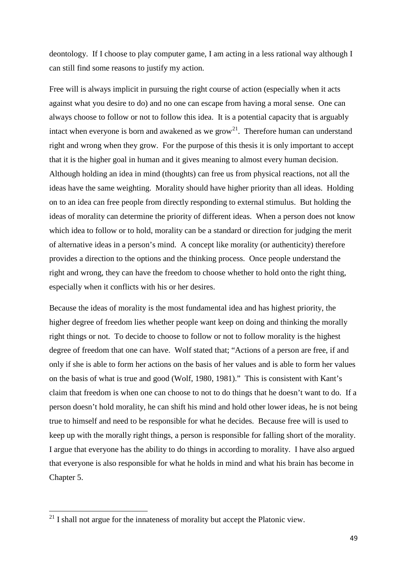deontology. If I choose to play computer game, I am acting in a less rational way although I can still find some reasons to justify my action.

Free will is always implicit in pursuing the right course of action (especially when it acts against what you desire to do) and no one can escape from having a moral sense. One can always choose to follow or not to follow this idea. It is a potential capacity that is arguably intact when everyone is born and awakened as we grow<sup>[21](#page-49-0)</sup>. Therefore human can understand right and wrong when they grow. For the purpose of this thesis it is only important to accept that it is the higher goal in human and it gives meaning to almost every human decision. Although holding an idea in mind (thoughts) can free us from physical reactions, not all the ideas have the same weighting. Morality should have higher priority than all ideas. Holding on to an idea can free people from directly responding to external stimulus. But holding the ideas of morality can determine the priority of different ideas. When a person does not know which idea to follow or to hold, morality can be a standard or direction for judging the merit of alternative ideas in a person's mind. A concept like morality (or authenticity) therefore provides a direction to the options and the thinking process. Once people understand the right and wrong, they can have the freedom to choose whether to hold onto the right thing, especially when it conflicts with his or her desires.

Because the ideas of morality is the most fundamental idea and has highest priority, the higher degree of freedom lies whether people want keep on doing and thinking the morally right things or not. To decide to choose to follow or not to follow morality is the highest degree of freedom that one can have. Wolf stated that; "Actions of a person are free, if and only if she is able to form her actions on the basis of her values and is able to form her values on the basis of what is true and good (Wolf, 1980, 1981)." This is consistent with Kant's claim that freedom is when one can choose to not to do things that he doesn't want to do. If a person doesn't hold morality, he can shift his mind and hold other lower ideas, he is not being true to himself and need to be responsible for what he decides. Because free will is used to keep up with the morally right things, a person is responsible for falling short of the morality. I argue that everyone has the ability to do things in according to morality. I have also argued that everyone is also responsible for what he holds in mind and what his brain has become in Chapter 5.

<span id="page-49-0"></span> $21$  I shall not argue for the innateness of morality but accept the Platonic view.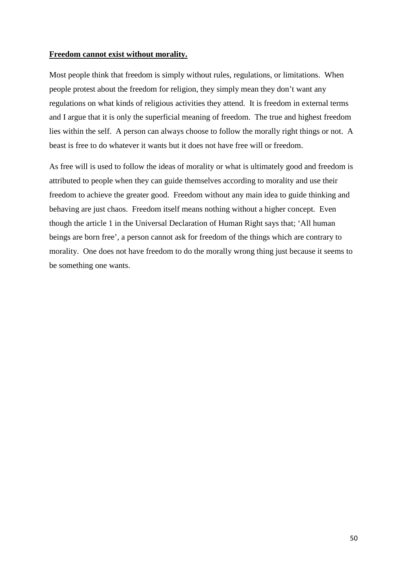# **Freedom cannot exist without morality.**

Most people think that freedom is simply without rules, regulations, or limitations. When people protest about the freedom for religion, they simply mean they don't want any regulations on what kinds of religious activities they attend. It is freedom in external terms and I argue that it is only the superficial meaning of freedom. The true and highest freedom lies within the self. A person can always choose to follow the morally right things or not. A beast is free to do whatever it wants but it does not have free will or freedom.

As free will is used to follow the ideas of morality or what is ultimately good and freedom is attributed to people when they can guide themselves according to morality and use their freedom to achieve the greater good. Freedom without any main idea to guide thinking and behaving are just chaos. Freedom itself means nothing without a higher concept. Even though the article 1 in the Universal Declaration of Human Right says that; 'All human beings are born free', a person cannot ask for freedom of the things which are contrary to morality. One does not have freedom to do the morally wrong thing just because it seems to be something one wants.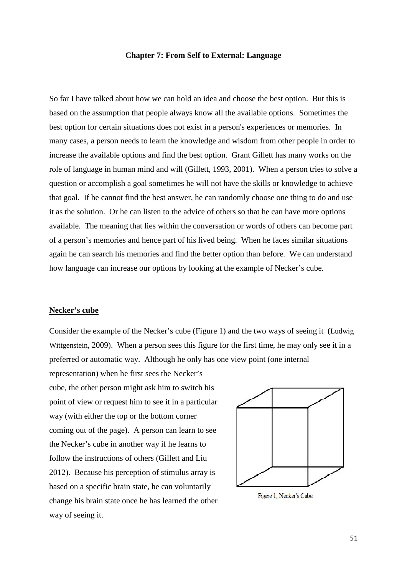# **Chapter 7: From Self to External: Language**

So far I have talked about how we can hold an idea and choose the best option. But this is based on the assumption that people always know all the available options. Sometimes the best option for certain situations does not exist in a person's experiences or memories. In many cases, a person needs to learn the knowledge and wisdom from other people in order to increase the available options and find the best option. Grant Gillett has many works on the role of language in human mind and will [\(Gillett, 1993,](#page-69-4) [2001\)](#page-69-5). When a person tries to solve a question or accomplish a goal sometimes he will not have the skills or knowledge to achieve that goal. If he cannot find the best answer, he can randomly choose one thing to do and use it as the solution. Or he can listen to the advice of others so that he can have more options available. The meaning that lies within the conversation or words of others can become part of a person's memories and hence part of his lived being. When he faces similar situations again he can search his memories and find the better option than before. We can understand how language can increase our options by looking at the example of Necker's cube.

#### **Necker's cube**

Consider the example of the Necker's cube (Figure 1) and the two ways of seeing it [\(Ludwig](#page-72-6)  [Wittgenstein, 2009\)](#page-72-6). When a person sees this figure for the first time, he may only see it in a preferred or automatic way. Although he only has one view point (one internal

representation) when he first sees the Necker's cube, the other person might ask him to switch his point of view or request him to see it in a particular way (with either the top or the bottom corner coming out of the page). A person can learn to see the Necker's cube in another way if he learns to follow the instructions of others (Gillett and Liu 2012). Because his perception of stimulus array is based on a specific brain state, he can voluntarily change his brain state once he has learned the other way of seeing it.



Figure 1: Necker's Cube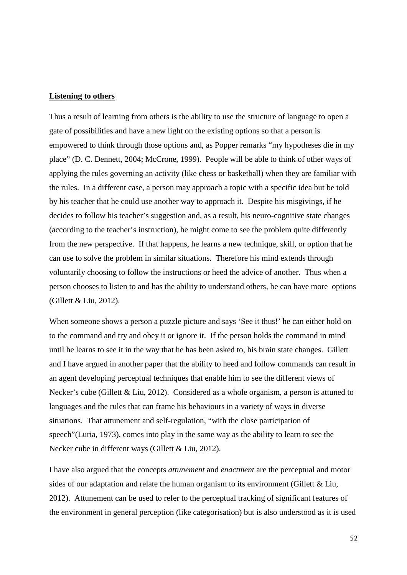### **Listening to others**

Thus a result of learning from others is the ability to use the structure of language to open a gate of possibilities and have a new light on the existing options so that a person is empowered to think through those options and, as Popper remarks "my hypotheses die in my place" [\(D. C. Dennett, 2004;](#page-69-6) [McCrone, 1999\)](#page-71-4). People will be able to think of other ways of applying the rules governing an activity (like chess or basketball) when they are familiar with the rules. In a different case, a person may approach a topic with a specific idea but be told by his teacher that he could use another way to approach it. Despite his misgivings, if he decides to follow his teacher's suggestion and, as a result, his neuro-cognitive state changes (according to the teacher's instruction), he might come to see the problem quite differently from the new perspective. If that happens, he learns a new technique, skill, or option that he can use to solve the problem in similar situations. Therefore his mind extends through voluntarily choosing to follow the instructions or heed the advice of another. Thus when a person chooses to listen to and has the ability to understand others, he can have more options [\(Gillett & Liu, 2012\)](#page-69-1).

When someone shows a person a puzzle picture and says 'See it thus!' he can either hold on to the command and try and obey it or ignore it. If the person holds the command in mind until he learns to see it in the way that he has been asked to, his brain state changes. Gillett and I have argued in another paper that the ability to heed and follow commands can result in an agent developing perceptual techniques that enable him to see the different views of Necker's cube [\(Gillett & Liu, 2012\)](#page-69-1). Considered as a whole organism, a person is attuned to languages and the rules that can frame his behaviours in a variety of ways in diverse situations. That attunement and self-regulation, "with the close participation of speech"[\(Luria, 1973\)](#page-70-2), comes into play in the same way as the ability to learn to see the Necker cube in different ways [\(Gillett & Liu, 2012\)](#page-69-1).

I have also argued that the concepts *attunement* and *enactment* are the perceptual and motor sides of our adaptation and relate the human organism to its environment [\(Gillett & Liu,](#page-69-1)  [2012\)](#page-69-1). Attunement can be used to refer to the perceptual tracking of significant features of the environment in general perception (like categorisation) but is also understood as it is used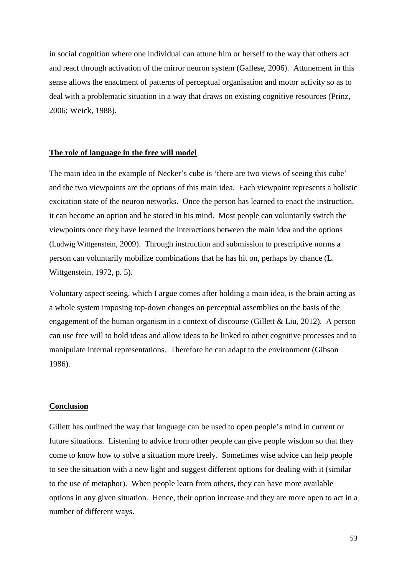in social cognition where one individual can attune him or herself to the way that others act and react through activation of the mirror neuron system [\(Gallese, 2006\)](#page-69-7). Attunement in this sense allows the enactment of patterns of perceptual organisation and motor activity so as to deal with a problematic situation in a way that draws on existing cognitive resources [\(Prinz,](#page-71-5)  [2006;](#page-71-5) [Weick, 1988\)](#page-72-7).

# **The role of language in the free will model**

The main idea in the example of Necker's cube is 'there are two views of seeing this cube' and the two viewpoints are the options of this main idea. Each viewpoint represents a holistic excitation state of the neuron networks. Once the person has learned to enact the instruction, it can become an option and be stored in his mind. Most people can voluntarily switch the viewpoints once they have learned the interactions between the main idea and the options [\(Ludwig Wittgenstein, 2009\)](#page-72-6). Through instruction and submission to prescriptive norms a person can voluntarily mobilize combinations that he has hit on, perhaps by chance [\(L.](#page-72-8)  [Wittgenstein, 1972, p. 5\)](#page-72-8).

Voluntary aspect seeing, which I argue comes after holding a main idea, is the brain acting as a whole system imposing top-down changes on perceptual assemblies on the basis of the engagement of the human organism in a context of discourse [\(Gillett & Liu, 2012\)](#page-69-1). A person can use free will to hold ideas and allow ideas to be linked to other cognitive processes and to manipulate internal representations. Therefore he can adapt to the environment (Gibson 1986).

#### **Conclusion**

Gillett has outlined the way that language can be used to open people's mind in current or future situations. Listening to advice from other people can give people wisdom so that they come to know how to solve a situation more freely. Sometimes wise advice can help people to see the situation with a new light and suggest different options for dealing with it (similar to the use of metaphor). When people learn from others, they can have more available options in any given situation. Hence, their option increase and they are more open to act in a number of different ways.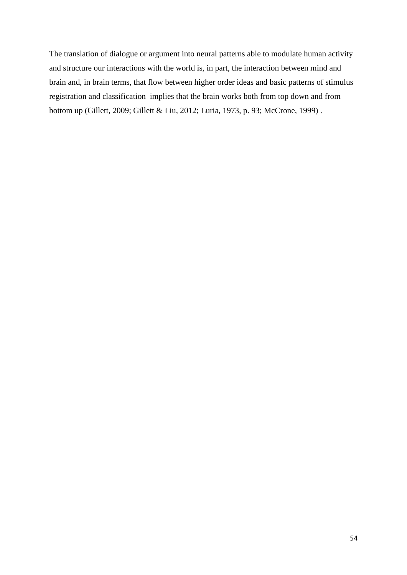The translation of dialogue or argument into neural patterns able to modulate human activity and structure our interactions with the world is, in part, the interaction between mind and brain and, in brain terms, that flow between higher order ideas and basic patterns of stimulus registration and classification implies that the brain works both from top down and from bottom up [\(Gillett, 2009;](#page-69-8) [Gillett & Liu, 2012;](#page-69-1) [Luria, 1973, p. 93;](#page-70-2) [McCrone, 1999\)](#page-71-4) .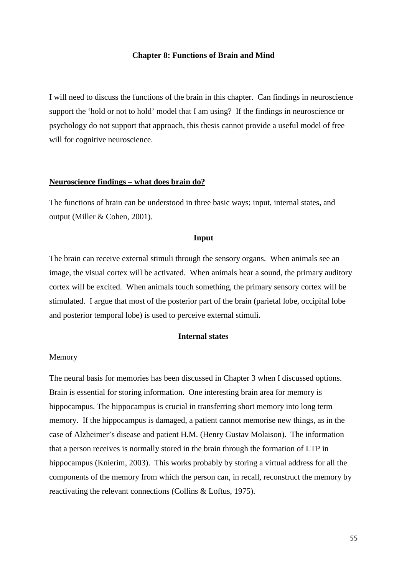## **Chapter 8: Functions of Brain and Mind**

I will need to discuss the functions of the brain in this chapter. Can findings in neuroscience support the 'hold or not to hold' model that I am using? If the findings in neuroscience or psychology do not support that approach, this thesis cannot provide a useful model of free will for cognitive neuroscience.

#### **Neuroscience findings – what does brain do?**

The functions of brain can be understood in three basic ways; input, internal states, and output [\(Miller & Cohen, 2001\)](#page-71-6).

# **Input**

The brain can receive external stimuli through the sensory organs. When animals see an image, the visual cortex will be activated. When animals hear a sound, the primary auditory cortex will be excited. When animals touch something, the primary sensory cortex will be stimulated. I argue that most of the posterior part of the brain (parietal lobe, occipital lobe and posterior temporal lobe) is used to perceive external stimuli.

# **Internal states**

# Memory

The neural basis for memories has been discussed in Chapter 3 when I discussed options. Brain is essential for storing information. One interesting brain area for memory is hippocampus. The hippocampus is crucial in transferring short memory into long term memory. If the hippocampus is damaged, a patient cannot memorise new things, as in the case of Alzheimer's disease and patient H.M. (Henry Gustav Molaison). The information that a person receives is normally stored in the brain through the formation of LTP in hippocampus [\(Knierim, 2003\)](#page-70-3). This works probably by storing a virtual address for all the components of the memory from which the person can, in recall, reconstruct the memory by reactivating the relevant connections [\(Collins & Loftus, 1975\)](#page-69-9).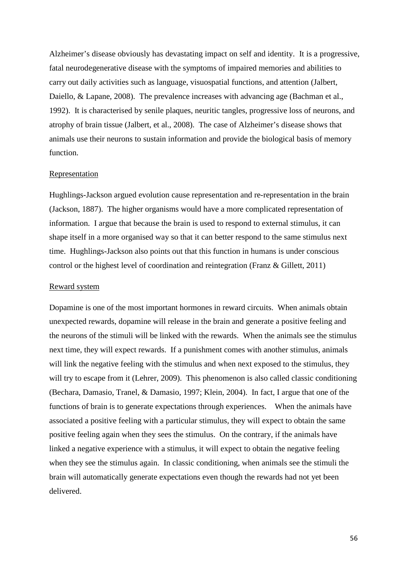Alzheimer's disease obviously has devastating impact on self and identity. It is a progressive, fatal neurodegenerative disease with the symptoms of impaired memories and abilities to carry out daily activities such as language, visuospatial functions, and attention [\(Jalbert,](#page-70-4)  [Daiello, & Lapane, 2008\)](#page-70-4). The prevalence increases with advancing age (Bachman et al., [1992\)](#page-68-6). It is characterised by senile plaques, neuritic tangles, progressive loss of neurons, and atrophy of brain tissue [\(Jalbert, et al., 2008\)](#page-70-4). The case of Alzheimer's disease shows that animals use their neurons to sustain information and provide the biological basis of memory function.

#### Representation

Hughlings-Jackson argued evolution cause representation and re-representation in the brain [\(Jackson, 1887\)](#page-70-5). The higher organisms would have a more complicated representation of information. I argue that because the brain is used to respond to external stimulus, it can shape itself in a more organised way so that it can better respond to the same stimulus next time. Hughlings-Jackson also points out that this function in humans is under conscious control or the highest level of coordination and reintegration [\(Franz & Gillett, 2011\)](#page-69-10)

#### Reward system

Dopamine is one of the most important hormones in reward circuits. When animals obtain unexpected rewards, dopamine will release in the brain and generate a positive feeling and the neurons of the stimuli will be linked with the rewards. When the animals see the stimulus next time, they will expect rewards. If a punishment comes with another stimulus, animals will link the negative feeling with the stimulus and when next exposed to the stimulus, they will try to escape from it [\(Lehrer, 2009\)](#page-70-6). This phenomenon is also called classic conditioning [\(Bechara, Damasio, Tranel, & Damasio, 1997;](#page-68-7) [Klein, 2004\)](#page-70-7). In fact, I argue that one of the functions of brain is to generate expectations through experiences. When the animals have associated a positive feeling with a particular stimulus, they will expect to obtain the same positive feeling again when they sees the stimulus. On the contrary, if the animals have linked a negative experience with a stimulus, it will expect to obtain the negative feeling when they see the stimulus again. In classic conditioning, when animals see the stimuli the brain will automatically generate expectations even though the rewards had not yet been delivered.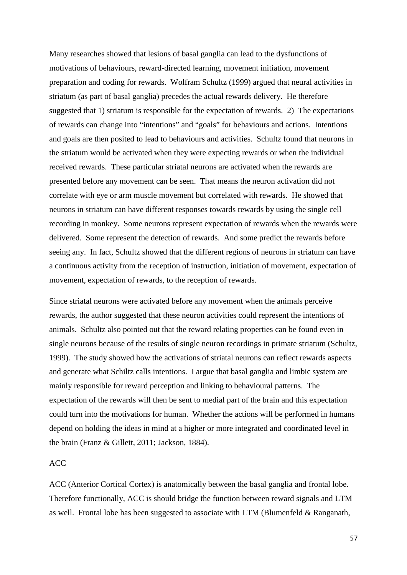Many researches showed that lesions of basal ganglia can lead to the dysfunctions of motivations of behaviours, reward-directed learning, movement initiation, movement preparation and coding for rewards. Wolfram Schultz (1999) argued that neural activities in striatum (as part of basal ganglia) precedes the actual rewards delivery. He therefore suggested that 1) striatum is responsible for the expectation of rewards. 2) The expectations of rewards can change into "intentions" and "goals" for behaviours and actions. Intentions and goals are then posited to lead to behaviours and activities. Schultz found that neurons in the striatum would be activated when they were expecting rewards or when the individual received rewards. These particular striatal neurons are activated when the rewards are presented before any movement can be seen. That means the neuron activation did not correlate with eye or arm muscle movement but correlated with rewards. He showed that neurons in striatum can have different responses towards rewards by using the single cell recording in monkey. Some neurons represent expectation of rewards when the rewards were delivered. Some represent the detection of rewards. And some predict the rewards before seeing any. In fact, Schultz showed that the different regions of neurons in striatum can have a continuous activity from the reception of instruction, initiation of movement, expectation of movement, expectation of rewards, to the reception of rewards.

Since striatal neurons were activated before any movement when the animals perceive rewards, the author suggested that these neuron activities could represent the intentions of animals. Schultz also pointed out that the reward relating properties can be found even in single neurons because of the results of single neuron recordings in primate striatum [\(Schultz,](#page-71-7)  [1999\)](#page-71-7). The study showed how the activations of striatal neurons can reflect rewards aspects and generate what Schiltz calls intentions. I argue that basal ganglia and limbic system are mainly responsible for reward perception and linking to behavioural patterns. The expectation of the rewards will then be sent to medial part of the brain and this expectation could turn into the motivations for human. Whether the actions will be performed in humans depend on holding the ideas in mind at a higher or more integrated and coordinated level in the brain [\(Franz & Gillett, 2011;](#page-69-10) [Jackson, 1884\)](#page-70-8).

# ACC

ACC (Anterior Cortical Cortex) is anatomically between the basal ganglia and frontal lobe. Therefore functionally, ACC is should bridge the function between reward signals and LTM as well. Frontal lobe has been suggested to associate with LTM [\(Blumenfeld & Ranganath,](#page-68-8)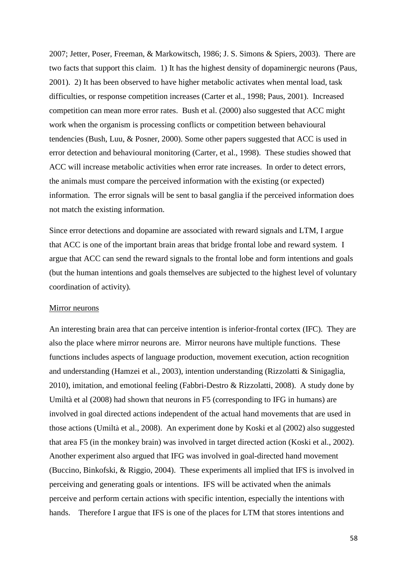[2007;](#page-68-8) [Jetter, Poser, Freeman, & Markowitsch, 1986;](#page-70-9) [J. S. Simons & Spiers, 2003\)](#page-72-9). There are two facts that support this claim. 1) It has the highest density of dopaminergic neurons [\(Paus,](#page-71-8)  [2001\)](#page-71-8). 2) It has been observed to have higher metabolic activates when mental load, task difficulties, or response competition increases [\(Carter et al., 1998;](#page-68-9) [Paus, 2001\)](#page-71-8). Increased competition can mean more error rates. Bush et al. (2000) also suggested that ACC might work when the organism is processing conflicts or competition between behavioural tendencies [\(Bush, Luu, & Posner, 2000\)](#page-68-10). Some other papers suggested that ACC is used in error detection and behavioural monitoring [\(Carter, et al., 1998\)](#page-68-9). These studies showed that ACC will increase metabolic activities when error rate increases. In order to detect errors, the animals must compare the perceived information with the existing (or expected) information. The error signals will be sent to basal ganglia if the perceived information does not match the existing information.

Since error detections and dopamine are associated with reward signals and LTM, I argue that ACC is one of the important brain areas that bridge frontal lobe and reward system. I argue that ACC can send the reward signals to the frontal lobe and form intentions and goals (but the human intentions and goals themselves are subjected to the highest level of voluntary coordination of activity)*.* 

#### Mirror neurons

An interesting brain area that can perceive intention is inferior-frontal cortex (IFC). They are also the place where mirror neurons are. Mirror neurons have multiple functions. These functions includes aspects of language production, movement execution, action recognition and understanding [\(Hamzei et al., 2003\)](#page-70-10), intention understanding [\(Rizzolatti & Sinigaglia,](#page-71-9)  [2010\)](#page-71-9), imitation, and emotional feeling [\(Fabbri-Destro & Rizzolatti, 2008\)](#page-69-11). A study done by Umiltà et al (2008) had shown that neurons in F5 (corresponding to IFG in humans) are involved in goal directed actions independent of the actual hand movements that are used in those actions (Umiltà [et al., 2008\)](#page-72-10). An experiment done by Koski et al (2002) also suggested that area F5 (in the monkey brain) was involved in target directed action [\(Koski et al., 2002\)](#page-70-11). Another experiment also argued that IFG was involved in goal-directed hand movement [\(Buccino, Binkofski, & Riggio, 2004\)](#page-68-11). These experiments all implied that IFS is involved in perceiving and generating goals or intentions. IFS will be activated when the animals perceive and perform certain actions with specific intention, especially the intentions with hands. Therefore I argue that IFS is one of the places for LTM that stores intentions and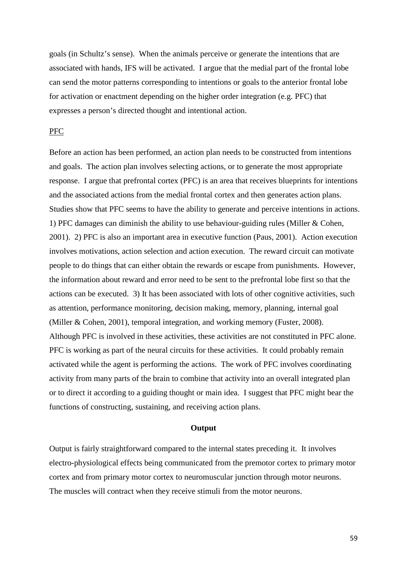goals (in Schultz's sense). When the animals perceive or generate the intentions that are associated with hands, IFS will be activated. I argue that the medial part of the frontal lobe can send the motor patterns corresponding to intentions or goals to the anterior frontal lobe for activation or enactment depending on the higher order integration (e.g. PFC) that expresses a person's directed thought and intentional action.

# PFC

Before an action has been performed, an action plan needs to be constructed from intentions and goals. The action plan involves selecting actions, or to generate the most appropriate response. I argue that prefrontal cortex (PFC) is an area that receives blueprints for intentions and the associated actions from the medial frontal cortex and then generates action plans. Studies show that PFC seems to have the ability to generate and perceive intentions in actions. 1) PFC damages can diminish the ability to use behaviour-guiding rules [\(Miller & Cohen,](#page-71-6)  [2001\)](#page-71-6). 2) PFC is also an important area in executive function [\(Paus, 2001\)](#page-71-8). Action execution involves motivations, action selection and action execution. The reward circuit can motivate people to do things that can either obtain the rewards or escape from punishments. However, the information about reward and error need to be sent to the prefrontal lobe first so that the actions can be executed. 3) It has been associated with lots of other cognitive activities, such as attention, performance monitoring, decision making, memory, planning, internal goal [\(Miller & Cohen, 2001\)](#page-71-6), temporal integration, and working memory [\(Fuster, 2008\)](#page-69-12). Although PFC is involved in these activities, these activities are not constituted in PFC alone. PFC is working as part of the neural circuits for these activities. It could probably remain activated while the agent is performing the actions. The work of PFC involves coordinating activity from many parts of the brain to combine that activity into an overall integrated plan or to direct it according to a guiding thought or main idea. I suggest that PFC might bear the functions of constructing, sustaining, and receiving action plans.

#### **Output**

Output is fairly straightforward compared to the internal states preceding it. It involves electro-physiological effects being communicated from the premotor cortex to primary motor cortex and from primary motor cortex to neuromuscular junction through motor neurons. The muscles will contract when they receive stimuli from the motor neurons.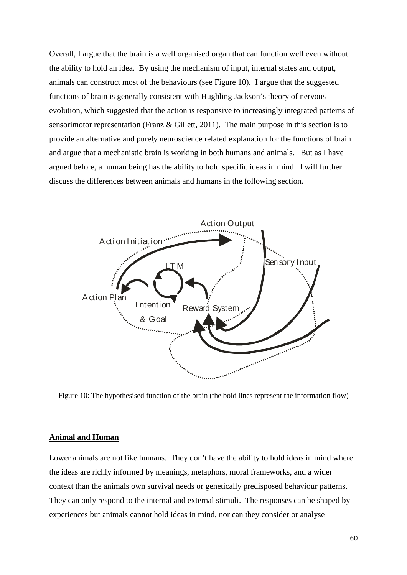Overall, I argue that the brain is a well organised organ that can function well even without the ability to hold an idea. By using the mechanism of input, internal states and output, animals can construct most of the behaviours (see Figure 10). I argue that the suggested functions of brain is generally consistent with Hughling Jackson's theory of nervous evolution, which suggested that the action is responsive to increasingly integrated patterns of sensorimotor representation [\(Franz & Gillett, 2011\)](#page-69-10). The main purpose in this section is to provide an alternative and purely neuroscience related explanation for the functions of brain and argue that a mechanistic brain is working in both humans and animals. But as I have argued before, a human being has the ability to hold specific ideas in mind. I will further discuss the differences between animals and humans in the following section.



Figure 10: The hypothesised function of the brain (the bold lines represent the information flow)

# **Animal and Human**

Lower animals are not like humans. They don't have the ability to hold ideas in mind where the ideas are richly informed by meanings, metaphors, moral frameworks, and a wider context than the animals own survival needs or genetically predisposed behaviour patterns. They can only respond to the internal and external stimuli. The responses can be shaped by experiences but animals cannot hold ideas in mind, nor can they consider or analyse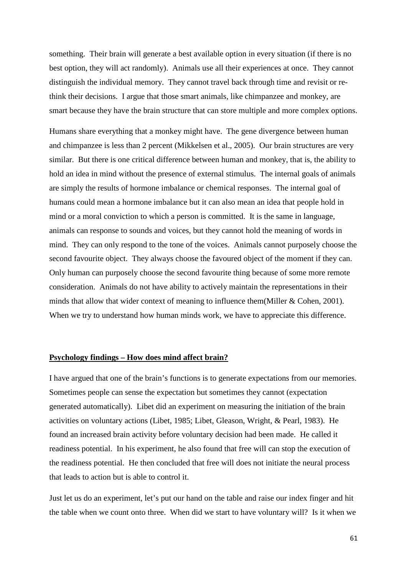something. Their brain will generate a best available option in every situation (if there is no best option, they will act randomly). Animals use all their experiences at once. They cannot distinguish the individual memory. They cannot travel back through time and revisit or rethink their decisions. I argue that those smart animals, like chimpanzee and monkey, are smart because they have the brain structure that can store multiple and more complex options.

Humans share everything that a monkey might have. The gene divergence between human and chimpanzee is less than 2 percent [\(Mikkelsen et al., 2005\)](#page-71-10). Our brain structures are very similar. But there is one critical difference between human and monkey, that is, the ability to hold an idea in mind without the presence of external stimulus. The internal goals of animals are simply the results of hormone imbalance or chemical responses. The internal goal of humans could mean a hormone imbalance but it can also mean an idea that people hold in mind or a moral conviction to which a person is committed. It is the same in language, animals can response to sounds and voices, but they cannot hold the meaning of words in mind. They can only respond to the tone of the voices. Animals cannot purposely choose the second favourite object. They always choose the favoured object of the moment if they can. Only human can purposely choose the second favourite thing because of some more remote consideration. Animals do not have ability to actively maintain the representations in their minds that allow that wider context of meaning to influence them[\(Miller & Cohen, 2001\)](#page-71-6). When we try to understand how human minds work, we have to appreciate this difference.

# **Psychology findings – How does mind affect brain?**

I have argued that one of the brain's functions is to generate expectations from our memories. Sometimes people can sense the expectation but sometimes they cannot (expectation generated automatically). Libet did an experiment on measuring the initiation of the brain activities on voluntary actions [\(Libet, 1985;](#page-70-12) [Libet, Gleason, Wright, & Pearl, 1983\)](#page-70-13). He found an increased brain activity before voluntary decision had been made. He called it readiness potential. In his experiment, he also found that free will can stop the execution of the readiness potential. He then concluded that free will does not initiate the neural process that leads to action but is able to control it.

Just let us do an experiment, let's put our hand on the table and raise our index finger and hit the table when we count onto three. When did we start to have voluntary will? Is it when we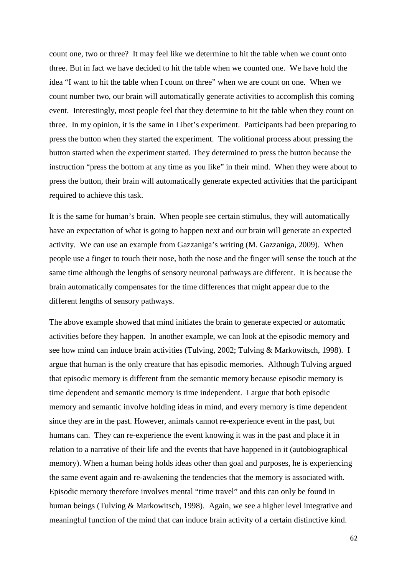count one, two or three? It may feel like we determine to hit the table when we count onto three. But in fact we have decided to hit the table when we counted one. We have hold the idea "I want to hit the table when I count on three" when we are count on one. When we count number two, our brain will automatically generate activities to accomplish this coming event. Interestingly, most people feel that they determine to hit the table when they count on three. In my opinion, it is the same in Libet's experiment. Participants had been preparing to press the button when they started the experiment. The volitional process about pressing the button started when the experiment started. They determined to press the button because the instruction "press the bottom at any time as you like" in their mind. When they were about to press the button, their brain will automatically generate expected activities that the participant required to achieve this task.

It is the same for human's brain. When people see certain stimulus, they will automatically have an expectation of what is going to happen next and our brain will generate an expected activity. We can use an example from Gazzaniga's writing [\(M. Gazzaniga, 2009\)](#page-69-13). When people use a finger to touch their nose, both the nose and the finger will sense the touch at the same time although the lengths of sensory neuronal pathways are different. It is because the brain automatically compensates for the time differences that might appear due to the different lengths of sensory pathways.

The above example showed that mind initiates the brain to generate expected or automatic activities before they happen. In another example, we can look at the episodic memory and see how mind can induce brain activities [\(Tulving, 2002;](#page-72-11) [Tulving & Markowitsch, 1998\)](#page-72-12). I argue that human is the only creature that has episodic memories. Although Tulving argued that episodic memory is different from the semantic memory because episodic memory is time dependent and semantic memory is time independent. I argue that both episodic memory and semantic involve holding ideas in mind, and every memory is time dependent since they are in the past. However, animals cannot re-experience event in the past, but humans can. They can re-experience the event knowing it was in the past and place it in relation to a narrative of their life and the events that have happened in it (autobiographical memory). When a human being holds ideas other than goal and purposes, he is experiencing the same event again and re-awakening the tendencies that the memory is associated with. Episodic memory therefore involves mental "time travel" and this can only be found in human beings [\(Tulving & Markowitsch, 1998\)](#page-72-12). Again, we see a higher level integrative and meaningful function of the mind that can induce brain activity of a certain distinctive kind.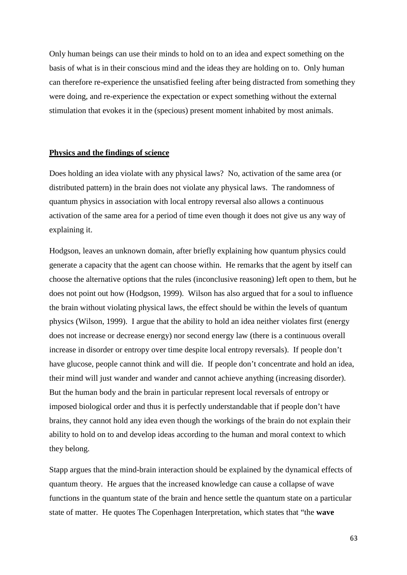Only human beings can use their minds to hold on to an idea and expect something on the basis of what is in their conscious mind and the ideas they are holding on to. Only human can therefore re-experience the unsatisfied feeling after being distracted from something they were doing, and re-experience the expectation or expect something without the external stimulation that evokes it in the (specious) present moment inhabited by most animals.

# **Physics and the findings of science**

Does holding an idea violate with any physical laws? No, activation of the same area (or distributed pattern) in the brain does not violate any physical laws. The randomness of quantum physics in association with local entropy reversal also allows a continuous activation of the same area for a period of time even though it does not give us any way of explaining it.

Hodgson, leaves an unknown domain, after briefly explaining how quantum physics could generate a capacity that the agent can choose within. He remarks that the agent by itself can choose the alternative options that the rules (inconclusive reasoning) left open to them, but he does not point out how [\(Hodgson, 1999\)](#page-70-14). Wilson has also argued that for a soul to influence the brain without violating physical laws, the effect should be within the levels of quantum physics [\(Wilson, 1999\)](#page-72-13). I argue that the ability to hold an idea neither violates first (energy does not increase or decrease energy) nor second energy law (there is a continuous overall increase in disorder or entropy over time despite local entropy reversals). If people don't have glucose, people cannot think and will die. If people don't concentrate and hold an idea, their mind will just wander and wander and cannot achieve anything (increasing disorder). But the human body and the brain in particular represent local reversals of entropy or imposed biological order and thus it is perfectly understandable that if people don't have brains, they cannot hold any idea even though the workings of the brain do not explain their ability to hold on to and develop ideas according to the human and moral context to which they belong.

Stapp argues that the mind-brain interaction should be explained by the dynamical effects of quantum theory. He argues that the increased knowledge can cause a collapse of wave functions in the quantum state of the brain and hence settle the quantum state on a particular state of matter. He quotes The Copenhagen Interpretation, which states that "the **wave**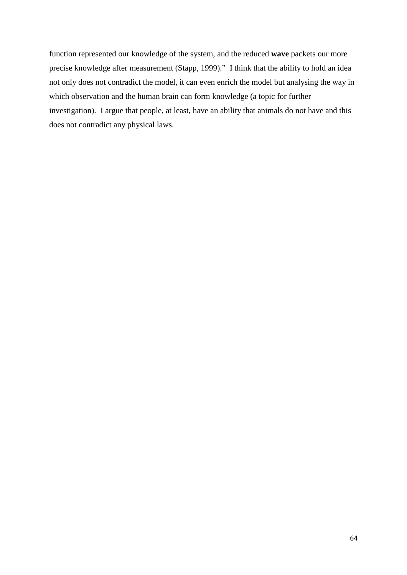function represented our knowledge of the system, and the reduced **wave** packets our more precise knowledge after measurement [\(Stapp, 1999\)](#page-72-14)." I think that the ability to hold an idea not only does not contradict the model, it can even enrich the model but analysing the way in which observation and the human brain can form knowledge (a topic for further investigation). I argue that people, at least, have an ability that animals do not have and this does not contradict any physical laws.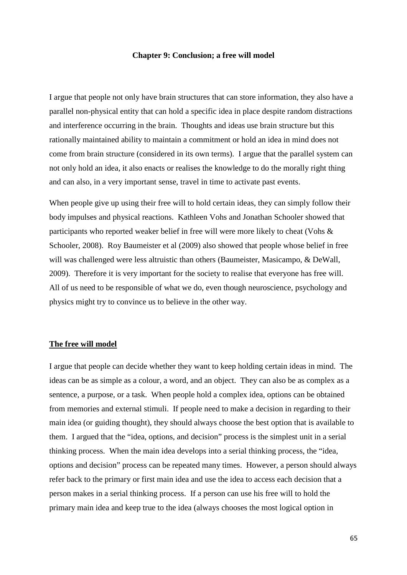### **Chapter 9: Conclusion; a free will model**

I argue that people not only have brain structures that can store information, they also have a parallel non-physical entity that can hold a specific idea in place despite random distractions and interference occurring in the brain. Thoughts and ideas use brain structure but this rationally maintained ability to maintain a commitment or hold an idea in mind does not come from brain structure (considered in its own terms). I argue that the parallel system can not only hold an idea, it also enacts or realises the knowledge to do the morally right thing and can also, in a very important sense, travel in time to activate past events.

When people give up using their free will to hold certain ideas, they can simply follow their body impulses and physical reactions. Kathleen Vohs and Jonathan Schooler showed that participants who reported weaker belief in free will were more likely to cheat [\(Vohs &](#page-72-15)  [Schooler, 2008\)](#page-72-15). Roy Baumeister et al (2009) also showed that people whose belief in free will was challenged were less altruistic than others [\(Baumeister, Masicampo, & DeWall,](#page-68-12)  [2009\)](#page-68-12). Therefore it is very important for the society to realise that everyone has free will. All of us need to be responsible of what we do, even though neuroscience, psychology and physics might try to convince us to believe in the other way.

# **The free will model**

I argue that people can decide whether they want to keep holding certain ideas in mind. The ideas can be as simple as a colour, a word, and an object. They can also be as complex as a sentence, a purpose, or a task. When people hold a complex idea, options can be obtained from memories and external stimuli. If people need to make a decision in regarding to their main idea (or guiding thought), they should always choose the best option that is available to them. I argued that the "idea, options, and decision" process is the simplest unit in a serial thinking process. When the main idea develops into a serial thinking process, the "idea, options and decision" process can be repeated many times. However, a person should always refer back to the primary or first main idea and use the idea to access each decision that a person makes in a serial thinking process. If a person can use his free will to hold the primary main idea and keep true to the idea (always chooses the most logical option in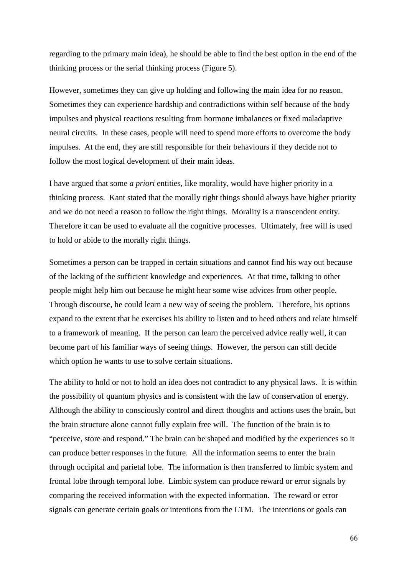regarding to the primary main idea), he should be able to find the best option in the end of the thinking process or the serial thinking process (Figure 5).

However, sometimes they can give up holding and following the main idea for no reason. Sometimes they can experience hardship and contradictions within self because of the body impulses and physical reactions resulting from hormone imbalances or fixed maladaptive neural circuits. In these cases, people will need to spend more efforts to overcome the body impulses. At the end, they are still responsible for their behaviours if they decide not to follow the most logical development of their main ideas.

I have argued that some *a priori* entities, like morality, would have higher priority in a thinking process. Kant stated that the morally right things should always have higher priority and we do not need a reason to follow the right things. Morality is a transcendent entity. Therefore it can be used to evaluate all the cognitive processes. Ultimately, free will is used to hold or abide to the morally right things.

Sometimes a person can be trapped in certain situations and cannot find his way out because of the lacking of the sufficient knowledge and experiences. At that time, talking to other people might help him out because he might hear some wise advices from other people. Through discourse, he could learn a new way of seeing the problem. Therefore, his options expand to the extent that he exercises his ability to listen and to heed others and relate himself to a framework of meaning. If the person can learn the perceived advice really well, it can become part of his familiar ways of seeing things. However, the person can still decide which option he wants to use to solve certain situations.

The ability to hold or not to hold an idea does not contradict to any physical laws. It is within the possibility of quantum physics and is consistent with the law of conservation of energy. Although the ability to consciously control and direct thoughts and actions uses the brain, but the brain structure alone cannot fully explain free will. The function of the brain is to "perceive, store and respond." The brain can be shaped and modified by the experiences so it can produce better responses in the future. All the information seems to enter the brain through occipital and parietal lobe. The information is then transferred to limbic system and frontal lobe through temporal lobe. Limbic system can produce reward or error signals by comparing the received information with the expected information. The reward or error signals can generate certain goals or intentions from the LTM. The intentions or goals can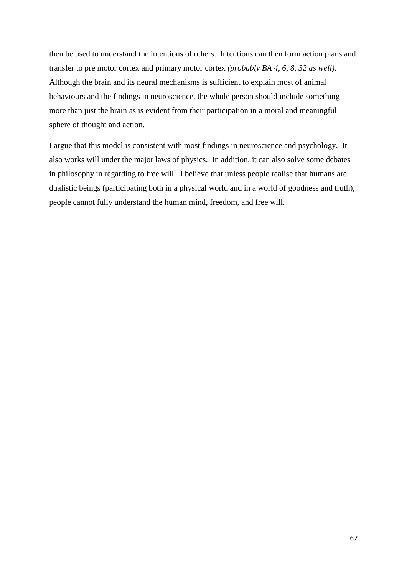then be used to understand the intentions of others. Intentions can then form action plans and transfer to pre motor cortex and primary motor cortex *(probably BA 4, 6, 8, 32 as well)*. Although the brain and its neural mechanisms is sufficient to explain most of animal behaviours and the findings in neuroscience, the whole person should include something more than just the brain as is evident from their participation in a moral and meaningful sphere of thought and action.

I argue that this model is consistent with most findings in neuroscience and psychology. It also works will under the major laws of physics. In addition, it can also solve some debates in philosophy in regarding to free will. I believe that unless people realise that humans are dualistic beings (participating both in a physical world and in a world of goodness and truth), people cannot fully understand the human mind, freedom, and free will.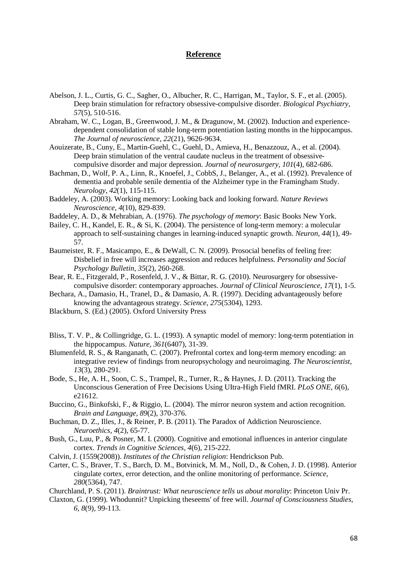# **Reference**

- <span id="page-68-3"></span>Abelson, J. L., Curtis, G. C., Sagher, O., Albucher, R. C., Harrigan, M., Taylor, S. F., et al. (2005). Deep brain stimulation for refractory obsessive-compulsive disorder. *Biological Psychiatry, 57*(5), 510-516.
- Abraham, W. C., Logan, B., Greenwood, J. M., & Dragunow, M. (2002). Induction and experiencedependent consolidation of stable long-term potentiation lasting months in the hippocampus. *The Journal of neuroscience, 22*(21), 9626-9634.
- <span id="page-68-1"></span>Aouizerate, B., Cuny, E., Martin-Guehl, C., Guehl, D., Amieva, H., Benazzouz, A., et al. (2004). Deep brain stimulation of the ventral caudate nucleus in the treatment of obsessivecompulsive disorder and major depression. *Journal of neurosurgery, 101*(4), 682-686.
- <span id="page-68-6"></span>Bachman, D., Wolf, P. A., Linn, R., Knoefel, J., CobbS, J., Belanger, A., et al. (1992). Prevalence of dementia and probable senile dementia of the Alzheimer type in the Framingham Study. *Neurology, 42*(1), 115-115.
- Baddeley, A. (2003). Working memory: Looking back and looking forward. *Nature Reviews Neuroscience, 4*(10), 829-839.
- Baddeley, A. D., & Mehrabian, A. (1976). *The psychology of memory*: Basic Books New York.
- Bailey, C. H., Kandel, E. R., & Si, K. (2004). The persistence of long-term memory: a molecular approach to self-sustaining changes in learning-induced synaptic growth. *Neuron, 44*(1), 49- 57.
- <span id="page-68-12"></span>Baumeister, R. F., Masicampo, E., & DeWall, C. N. (2009). Prosocial benefits of feeling free: Disbelief in free will increases aggression and reduces helpfulness. *Personality and Social Psychology Bulletin, 35*(2), 260-268.
- <span id="page-68-2"></span>Bear, R. E., Fitzgerald, P., Rosenfeld, J. V., & Bittar, R. G. (2010). Neurosurgery for obsessivecompulsive disorder: contemporary approaches. *Journal of Clinical Neuroscience, 17*(1), 1-5.
- <span id="page-68-7"></span>Bechara, A., Damasio, H., Tranel, D., & Damasio, A. R. (1997). Deciding advantageously before knowing the advantageous strategy. *Science, 275*(5304), 1293.
- Blackburn, S. (Ed.) (2005). Oxford University Press
- Bliss, T. V. P., & Collingridge, G. L. (1993). A synaptic model of memory: long-term potentiation in the hippocampus. *Nature, 361*(6407), 31-39.
- <span id="page-68-8"></span>Blumenfeld, R. S., & Ranganath, C. (2007). Prefrontal cortex and long-term memory encoding: an integrative review of findings from neuropsychology and neuroimaging. *The Neuroscientist, 13*(3), 280-291.
- Bode, S., He, A. H., Soon, C. S., Trampel, R., Turner, R., & Haynes, J. D. (2011). Tracking the Unconscious Generation of Free Decisions Using UItra-High Field fMRI. *PLoS ONE, 6*(6), e21612.
- <span id="page-68-11"></span>Buccino, G., Binkofski, F., & Riggio, L. (2004). The mirror neuron system and action recognition. *Brain and Language, 89*(2), 370-376.
- <span id="page-68-0"></span>Buchman, D. Z., Illes, J., & Reiner, P. B. (2011). The Paradox of Addiction Neuroscience. *Neuroethics, 4*(2), 65-77.
- <span id="page-68-10"></span>Bush, G., Luu, P., & Posner, M. I. (2000). Cognitive and emotional influences in anterior cingulate cortex. *Trends in Cognitive Sciences, 4*(6), 215-222.
- <span id="page-68-4"></span>Calvin, J. (1559(2008)). *Institutes of the Christian religion*: Hendrickson Pub.
- <span id="page-68-9"></span>Carter, C. S., Braver, T. S., Barch, D. M., Botvinick, M. M., Noll, D., & Cohen, J. D. (1998). Anterior cingulate cortex, error detection, and the online monitoring of performance. *Science, 280*(5364), 747.
- <span id="page-68-5"></span>Churchland, P. S. (2011). *Braintrust: What neuroscience tells us about morality*: Princeton Univ Pr.
- Claxton, G. (1999). Whodunnit? Unpicking theseems' of free will. *Journal of Consciousness Studies, 6, 8*(9), 99-113.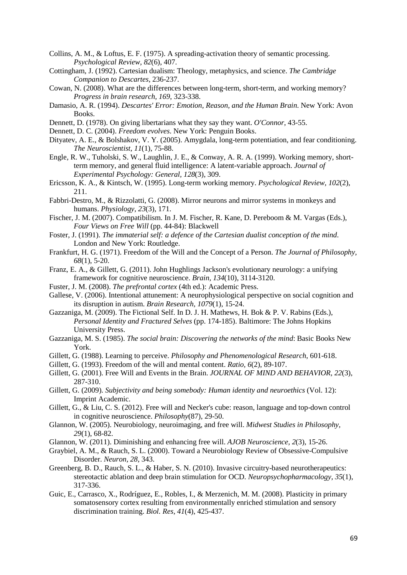- <span id="page-69-9"></span>Collins, A. M., & Loftus, E. F. (1975). A spreading-activation theory of semantic processing. *Psychological Review, 82*(6), 407.
- Cottingham, J. (1992). Cartesian dualism: Theology, metaphysics, and science. *The Cambridge Companion to Descartes*, 236-237.
- Cowan, N. (2008). What are the differences between long-term, short-term, and working memory? *Progress in brain research, 169*, 323-338.
- Damasio, A. R. (1994). *Descartes' Error: Emotion, Reason, and the Human Brain*. New York: Avon Books.
- Dennett, D. (1978). On giving libertarians what they say they want. *O'Connor*, 43-55.
- <span id="page-69-6"></span>Dennett, D. C. (2004). *Freedom evolves*. New York: Penguin Books.
- Dityatev, A. E., & Bolshakov, V. Y. (2005). Amygdala, long-term potentiation, and fear conditioning. *The Neuroscientist, 11*(1), 75-88.
- Engle, R. W., Tuholski, S. W., Laughlin, J. E., & Conway, A. R. A. (1999). Working memory, shortterm memory, and general fluid intelligence: A latent-variable approach. *Journal of Experimental Psychology: General, 128*(3), 309.
- Ericsson, K. A., & Kintsch, W. (1995). Long-term working memory. *Psychological Review, 102*(2), 211.

<span id="page-69-11"></span>Fabbri-Destro, M., & Rizzolatti, G. (2008). Mirror neurons and mirror systems in monkeys and humans. *Physiology, 23*(3), 171.

- Fischer, J. M. (2007). Compatibilism. In J. M. Fischer, R. Kane, D. Pereboom & M. Vargas (Eds.), *Four Views on Free Will* (pp. 44-84): Blackwell
- Foster, J. (1991). *The immaterial self: a defence of the Cartesian dualist conception of the mind*. London and New York: Routledge.
- Frankfurt, H. G. (1971). Freedom of the Will and the Concept of a Person. *The Journal of Philosophy, 68*(1), 5-20.
- <span id="page-69-10"></span>Franz, E. A., & Gillett, G. (2011). John Hughlings Jackson's evolutionary neurology: a unifying framework for cognitive neuroscience. *Brain, 134*(10), 3114-3120.
- <span id="page-69-12"></span>Fuster, J. M. (2008). *The prefrontal cortex* (4th ed.): Academic Press.
- <span id="page-69-7"></span>Gallese, V. (2006). Intentional attunement: A neurophysiological perspective on social cognition and its disruption in autism. *Brain Research, 1079*(1), 15-24.
- <span id="page-69-13"></span>Gazzaniga, M. (2009). The Fictional Self. In D. J. H. Mathews, H. Bok & P. V. Rabins (Eds.), *Personal Identity and Fractured Selves* (pp. 174-185). Baltimore: The Johns Hopkins University Press.
- <span id="page-69-3"></span>Gazzaniga, M. S. (1985). *The social brain: Discovering the networks of the mind*: Basic Books New York.
- Gillett, G. (1988). Learning to perceive. *Philosophy and Phenomenological Research*, 601-618.
- <span id="page-69-4"></span>Gillett, G. (1993). Freedom of the will and mental content. *Ratio, 6*(2), 89-107.
- <span id="page-69-5"></span>Gillett, G. (2001). Free Will and Events in the Brain. *JOURNAL OF MIND AND BEHAVIOR, 22*(3), 287-310.
- <span id="page-69-8"></span>Gillett, G. (2009). *Subjectivity and being somebody: Human identity and neuroethics* (Vol. 12): Imprint Academic.
- <span id="page-69-1"></span>Gillett, G., & Liu, C. S. (2012). Free will and Necker's cube: reason, language and top-down control in cognitive neuroscience. *Philosophy*(87), 29-50.
- Glannon, W. (2005). Neurobiology, neuroimaging, and free will. *Midwest Studies in Philosophy, 29*(1), 68-82.
- Glannon, W. (2011). Diminishing and enhancing free will. *AJOB Neuroscience, 2*(3), 15-26.
- <span id="page-69-0"></span>Graybiel, A. M., & Rauch, S. L. (2000). Toward a Neurobiology Review of Obsessive-Compulsive Disorder. *Neuron, 28*, 343.
- <span id="page-69-2"></span>Greenberg, B. D., Rauch, S. L., & Haber, S. N. (2010). Invasive circuitry-based neurotherapeutics: stereotactic ablation and deep brain stimulation for OCD. *Neuropsychopharmacology, 35*(1), 317-336.
- Guic, E., Carrasco, X., Rodríguez, E., Robles, I., & Merzenich, M. M. (2008). Plasticity in primary somatosensory cortex resulting from environmentally enriched stimulation and sensory discrimination training. *Biol. Res, 41*(4), 425-437.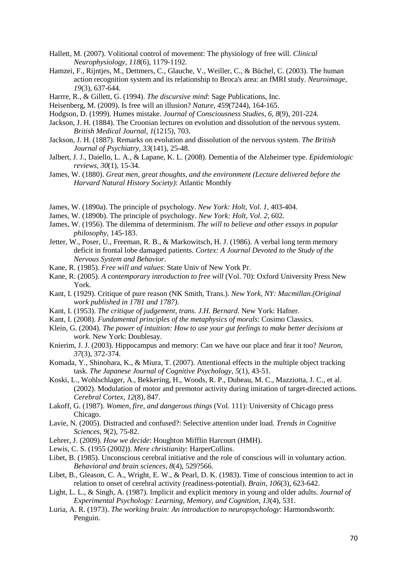- Hallett, M. (2007). Volitional control of movement: The physiology of free will. *Clinical Neurophysiology, 118*(6), 1179-1192.
- <span id="page-70-10"></span>Hamzei, F., Rijntjes, M., Dettmers, C., Glauche, V., Weiller, C., & Büchel, C. (2003). The human action recognition system and its relationship to Broca's area: an fMRI study. *Neuroimage, 19*(3), 637-644.
- Harrre, R., & Gillett, G. (1994). *The discursive mind*: Sage Publications, Inc.
- Heisenberg, M. (2009). Is free will an illusion? *Nature, 459*(7244), 164-165.
- <span id="page-70-14"></span>Hodgson, D. (1999). Humes mistake. *Journal of Consciousness Studies, 6, 8*(9), 201-224.
- <span id="page-70-8"></span>Jackson, J. H. (1884). The Croonian lectures on evolution and dissolution of the nervous system. *British Medical Journal, 1*(1215), 703.
- <span id="page-70-5"></span>Jackson, J. H. (1887). Remarks on evolution and dissolution of the nervous system. *The British Journal of Psychiatry, 33*(141), 25-48.
- <span id="page-70-4"></span>Jalbert, J. J., Daiello, L. A., & Lapane, K. L. (2008). Dementia of the Alzheimer type. *Epidemiologic reviews, 30*(1), 15-34.
- James, W. (1880). *Great men, great thoughts, and the environment (Lecture delivered before the Harvard Natural History Society)*: Atlantic Monthly
- James, W. (1890a). The principle of psychology. *New York: Holt, Vol. 1*, 403-404.
- James, W. (1890b). The principle of psychology. *New York: Holt, Vol. 2*, 602.
- James, W. (1956). The dilemma of determinism. *The will to believe and other essays in popular philosophy*, 145-183.
- <span id="page-70-9"></span>Jetter, W., Poser, U., Freeman, R. B., & Markowitsch, H. J. (1986). A verbal long term memory deficit in frontal lobe damaged patients. *Cortex: A Journal Devoted to the Study of the Nervous System and Behavior*.
- Kane, R. (1985). *Free will and values*: State Univ of New York Pr.
- Kane, R. (2005). *A contemporary introduction to free will* (Vol. 70): Oxford University Press New York.
- Kant, I. (1929). Critique of pure reason (NK Smith, Trans.). *New York, NY: Macmillan.(Original work published in 1781 and 1787)*.
- Kant, I. (1953). *The critique of judgement, trans. J.H. Bernard*. New York: Hafner.
- <span id="page-70-0"></span>Kant, I. (2008). *Fundamental principles of the metaphysics of morals*: Cosimo Classics.
- <span id="page-70-7"></span>Klein, G. (2004). *The power of intuition: How to use your gut feelings to make better decisions at work*. New York: Doublesay.
- <span id="page-70-3"></span>Knierim, J. J. (2003). Hippocampus and memory: Can we have our place and fear it too? *Neuron, 37*(3), 372-374.
- Komada, Y., Shinohara, K., & Miura, T. (2007). Attentional effects in the multiple object tracking task. *The Japanese Journal of Cognitive Psychology, 5*(1), 43-51.
- <span id="page-70-11"></span>Koski, L., Wohlschlager, A., Bekkering, H., Woods, R. P., Dubeau, M. C., Mazziotta, J. C., et al. (2002). Modulation of motor and premotor activity during imitation of target-directed actions. *Cerebral Cortex, 12*(8), 847.
- Lakoff, G. (1987). *Women, fire, and dangerous things* (Vol. 111): University of Chicago press Chicago.
- Lavie, N. (2005). Distracted and confused?: Selective attention under load. *Trends in Cognitive Sciences, 9*(2), 75-82.
- <span id="page-70-6"></span>Lehrer, J. (2009). *How we decide*: Houghton Mifflin Harcourt (HMH).
- <span id="page-70-1"></span>Lewis, C. S. (1955 (2002)). *Mere christianity*: HarperCollins.
- <span id="page-70-12"></span>Libet, B. (1985). Unconscious cerebral initiative and the role of conscious will in voluntary action. *Behavioral and brain sciences, 8*(4), 529?566.
- <span id="page-70-13"></span>Libet, B., Gleason, C. A., Wright, E. W., & Pearl, D. K. (1983). Time of conscious intention to act in relation to onset of cerebral activity (readiness-potential). *Brain, 106*(3), 623-642.
- Light, L. L., & Singh, A. (1987). Implicit and explicit memory in young and older adults. *Journal of Experimental Psychology: Learning, Memory, and Cognition, 13*(4), 531.
- <span id="page-70-2"></span>Luria, A. R. (1973). *The working brain: An introduction to neuropsychology*: Harmondsworth: Penguin.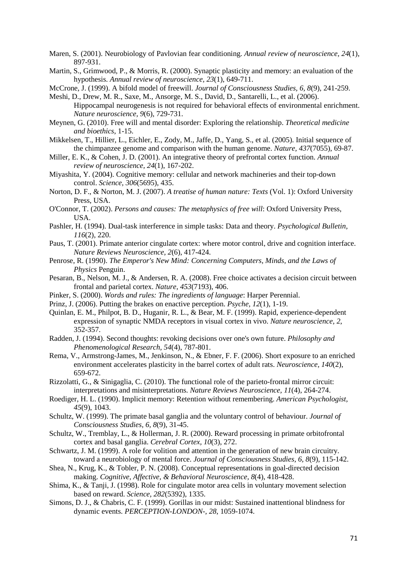- Maren, S. (2001). Neurobiology of Pavlovian fear conditioning. *Annual review of neuroscience, 24*(1), 897-931.
- Martin, S., Grimwood, P., & Morris, R. (2000). Synaptic plasticity and memory: an evaluation of the hypothesis. *Annual review of neuroscience, 23*(1), 649-711.
- <span id="page-71-4"></span>McCrone, J. (1999). A bifold model of freewill. *Journal of Consciousness Studies, 6, 8*(9), 241-259.
- Meshi, D., Drew, M. R., Saxe, M., Ansorge, M. S., David, D., Santarelli, L., et al. (2006). Hippocampal neurogenesis is not required for behavioral effects of environmental enrichment. *Nature neuroscience, 9*(6), 729-731.
- Meynen, G. (2010). Free will and mental disorder: Exploring the relationship. *Theoretical medicine and bioethics*, 1-15.
- <span id="page-71-10"></span>Mikkelsen, T., Hillier, L., Eichler, E., Zody, M., Jaffe, D., Yang, S., et al. (2005). Initial sequence of the chimpanzee genome and comparison with the human genome. *Nature, 437*(7055), 69-87.
- <span id="page-71-6"></span>Miller, E. K., & Cohen, J. D. (2001). An integrative theory of prefrontal cortex function. *Annual review of neuroscience, 24*(1), 167-202.
- Miyashita, Y. (2004). Cognitive memory: cellular and network machineries and their top-down control. *Science, 306*(5695), 435.
- Norton, D. F., & Norton, M. J. (2007). *A treatise of human nature: Texts* (Vol. 1): Oxford University Press, USA.
- O'Connor, T. (2002). *Persons and causes: The metaphysics of free will*: Oxford University Press, USA.
- Pashler, H. (1994). Dual-task interference in simple tasks: Data and theory. *Psychological Bulletin, 116*(2), 220.
- <span id="page-71-8"></span>Paus, T. (2001). Primate anterior cingulate cortex: where motor control, drive and cognition interface. *Nature Reviews Neuroscience, 2*(6), 417-424.
- Penrose, R. (1990). *The Emperor's New Mind: Concerning Computers, Minds, and the Laws of Physics* Penguin.
- Pesaran, B., Nelson, M. J., & Andersen, R. A. (2008). Free choice activates a decision circuit between frontal and parietal cortex. *Nature, 453*(7193), 406.
- <span id="page-71-3"></span>Pinker, S. (2000). *Words and rules: The ingredients of language*: Harper Perennial.
- <span id="page-71-5"></span>Prinz, J. (2006). Putting the brakes on enactive perception. *Psyche, 12*(1), 1-19.
- Quinlan, E. M., Philpot, B. D., Huganir, R. L., & Bear, M. F. (1999). Rapid, experience-dependent expression of synaptic NMDA receptors in visual cortex in vivo. *Nature neuroscience, 2*, 352-357.
- Radden, J. (1994). Second thoughts: revoking decisions over one's own future. *Philosophy and Phenomenological Research, 54*(4), 787-801.
- Rema, V., Armstrong-James, M., Jenkinson, N., & Ebner, F. F. (2006). Short exposure to an enriched environment accelerates plasticity in the barrel cortex of adult rats. *Neuroscience, 140*(2), 659-672.
- <span id="page-71-9"></span>Rizzolatti, G., & Sinigaglia, C. (2010). The functional role of the parieto-frontal mirror circuit: interpretations and misinterpretations. *Nature Reviews Neuroscience, 11*(4), 264-274.
- Roediger, H. L. (1990). Implicit memory: Retention without remembering. *American Psychologist, 45*(9), 1043.
- <span id="page-71-7"></span>Schultz, W. (1999). The primate basal ganglia and the voluntary control of behaviour. *Journal of Consciousness Studies, 6, 8*(9), 31-45.
- <span id="page-71-0"></span>Schultz, W., Tremblay, L., & Hollerman, J. R. (2000). Reward processing in primate orbitofrontal cortex and basal ganglia. *Cerebral Cortex, 10*(3), 272.
- <span id="page-71-2"></span>Schwartz, J. M. (1999). A role for volition and attention in the generation of new brain circuitry. toward a neurobiology of mental force. *Journal of Consciousness Studies, 6, 8*(9), 115-142.
- Shea, N., Krug, K., & Tobler, P. N. (2008). Conceptual representations in goal-directed decision making. *Cognitive, Affective, & Behavioral Neuroscience, 8*(4), 418-428.
- <span id="page-71-1"></span>Shima, K., & Tanji, J. (1998). Role for cingulate motor area cells in voluntary movement selection based on reward. *Science, 282*(5392), 1335.
- Simons, D. J., & Chabris, C. F. (1999). Gorillas in our midst: Sustained inattentional blindness for dynamic events. *PERCEPTION-LONDON-, 28*, 1059-1074.